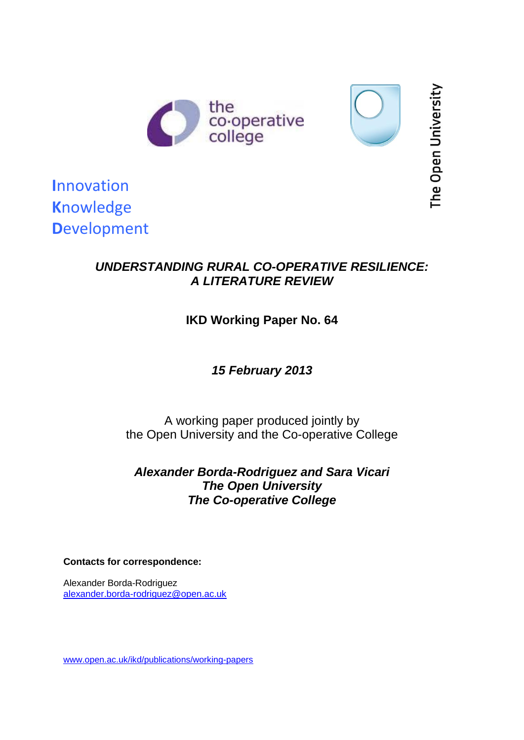



The Open University

**I**nnovation **K**nowledge **D**evelopment

## *UNDERSTANDING RURAL CO-OPERATIVE RESILIENCE: A LITERATURE REVIEW*

# **IKD Working Paper No. 64**

*15 February 2013*

A working paper produced jointly by the Open University and the Co-operative College

*Alexander Borda-Rodriguez and Sara Vicari The Open University The Co-operative College*

**Contacts for correspondence:**

Alexander Borda-Rodriguez [alexander.borda-rodriguez@open.ac.uk](mailto:alexander.borda-rodriguez@open.ac.uk)

[www.open.ac.uk/ikd/publications/working-papers](http://www.open.ac.uk/ikd/publications/working-papers)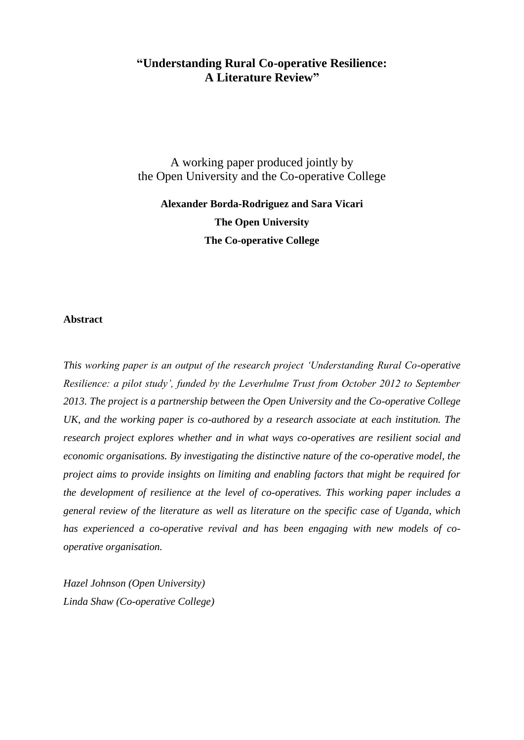## **"Understanding Rural Co-operative Resilience: A Literature Review"**

A working paper produced jointly by the Open University and the Co-operative College

**Alexander Borda-Rodriguez and Sara Vicari The Open University The Co-operative College** 

#### **Abstract**

*This working paper is an output of the research project 'Understanding Rural Co-operative Resilience: a pilot study', funded by the Leverhulme Trust from October 2012 to September 2013. The project is a partnership between the Open University and the Co-operative College UK, and the working paper is co-authored by a research associate at each institution. The research project explores whether and in what ways co-operatives are resilient social and economic organisations. By investigating the distinctive nature of the co-operative model, the project aims to provide insights on limiting and enabling factors that might be required for the development of resilience at the level of co-operatives. This working paper includes a general review of the literature as well as literature on the specific case of Uganda, which has experienced a co-operative revival and has been engaging with new models of cooperative organisation.*

*Hazel Johnson (Open University) Linda Shaw (Co-operative College)*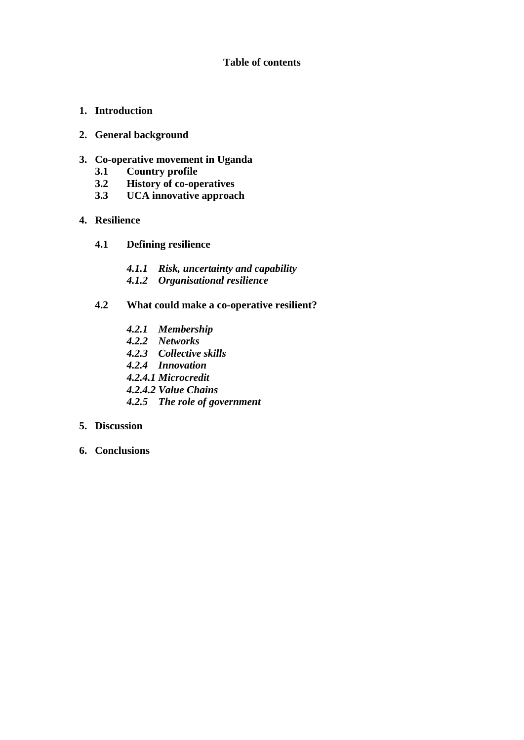## **Table of contents**

- **1. Introduction**
- **2. General background**
- **3. Co-operative movement in Uganda** 
	- **3.1 Country profile**
	- **3.2 History of co-operatives**
	- **3.3 UCA innovative approach**
- **4. Resilience**
	- **4.1 Defining resilience**
		- *4.1.1 Risk, uncertainty and capability*
		- *4.1.2 Organisational resilience*
	- **4.2 What could make a co-operative resilient?**
		- *4.2.1 Membership*
		- *4.2.2 Networks*
		- *4.2.3 Collective skills*
		- *4.2.4 Innovation*
		- *4.2.4.1 Microcredit*
		- *4.2.4.2 Value Chains*
		- *4.2.5 The role of government*

## **5. Discussion**

**6. Conclusions**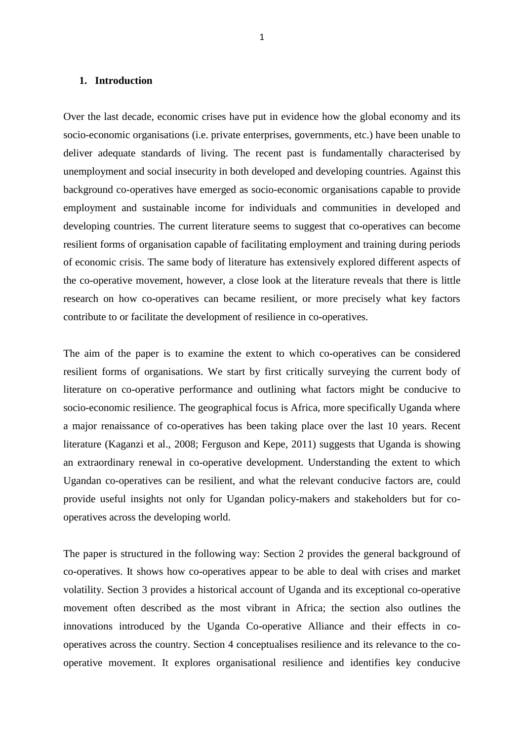## **1. Introduction**

Over the last decade, economic crises have put in evidence how the global economy and its socio-economic organisations (i.e. private enterprises, governments, etc.) have been unable to deliver adequate standards of living. The recent past is fundamentally characterised by unemployment and social insecurity in both developed and developing countries. Against this background co-operatives have emerged as socio-economic organisations capable to provide employment and sustainable income for individuals and communities in developed and developing countries. The current literature seems to suggest that co-operatives can become resilient forms of organisation capable of facilitating employment and training during periods of economic crisis. The same body of literature has extensively explored different aspects of the co-operative movement, however, a close look at the literature reveals that there is little research on how co-operatives can became resilient, or more precisely what key factors contribute to or facilitate the development of resilience in co-operatives.

The aim of the paper is to examine the extent to which co-operatives can be considered resilient forms of organisations. We start by first critically surveying the current body of literature on co-operative performance and outlining what factors might be conducive to socio-economic resilience. The geographical focus is Africa, more specifically Uganda where a major [renaissance](http://www.bing.com/search?q=renaissance&FORM=AWRE) of co-operatives has been taking place over the last 10 years. Recent literature (Kaganzi et al., 2008; Ferguson and Kepe, 2011) suggests that Uganda is showing an extraordinary renewal in co-operative development. Understanding the extent to which Ugandan co-operatives can be resilient, and what the relevant conducive factors are, could provide useful insights not only for Ugandan policy-makers and stakeholders but for cooperatives across the developing world.

The paper is structured in the following way: Section 2 provides the general background of co-operatives. It shows how co-operatives appear to be able to deal with crises and market volatility. Section 3 provides a historical account of Uganda and its exceptional co-operative movement often described as the most vibrant in Africa; the section also outlines the innovations introduced by the Uganda Co-operative Alliance and their effects in cooperatives across the country. Section 4 conceptualises resilience and its relevance to the cooperative movement. It explores organisational resilience and identifies key conducive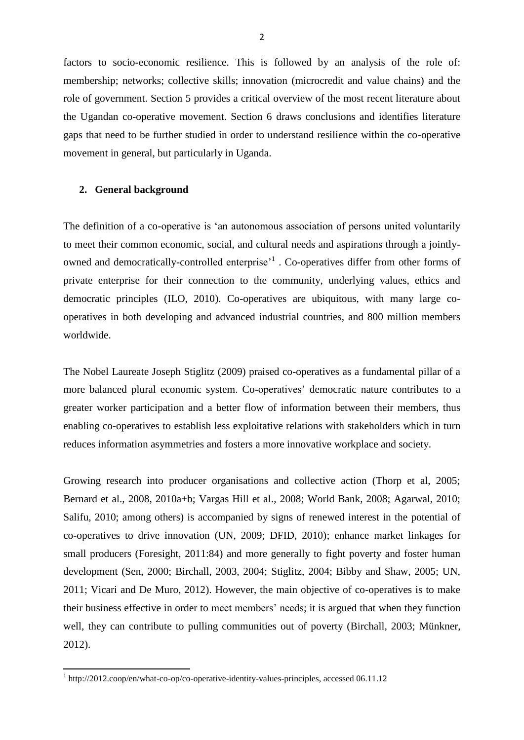factors to socio-economic resilience. This is followed by an analysis of the role of: membership; networks; collective skills; innovation (microcredit and value chains) and the role of government. Section 5 provides a critical overview of the most recent literature about the Ugandan co-operative movement. Section 6 draws conclusions and identifies literature gaps that need to be further studied in order to understand resilience within the co-operative movement in general, but particularly in Uganda.

### **2. General background**

The definition of a co-operative is 'an autonomous association of persons united voluntarily to meet their common economic, social, and cultural needs and aspirations through a jointlyowned and democratically-controlled enterprise<sup>,1</sup>. Co-operatives differ from other forms of private enterprise for their connection to the community, underlying values, ethics and democratic principles (ILO, 2010). Co-operatives are ubiquitous, with many large cooperatives in both developing and advanced industrial countries, and 800 million members worldwide.

The Nobel Laureate Joseph Stiglitz (2009) praised co-operatives as a fundamental pillar of a more balanced plural economic system. Co-operatives' democratic nature contributes to a greater worker participation and a better flow of information between their members, thus enabling co-operatives to establish less exploitative relations with stakeholders which in turn reduces information asymmetries and fosters a more innovative workplace and society.

Growing research into producer organisations and collective action (Thorp et al, 2005; Bernard et al., 2008, 2010a+b; Vargas Hill et al., 2008; World Bank, 2008; Agarwal, 2010; Salifu, 2010; among others) is accompanied by signs of renewed interest in the potential of co-operatives to drive innovation (UN, 2009; DFID, 2010); enhance market linkages for small producers (Foresight, 2011:84) and more generally to fight poverty and foster human development (Sen, 2000; Birchall, 2003, 2004; Stiglitz, 2004; Bibby and Shaw, 2005; UN, 2011; Vicari and De Muro, 2012). However, the main objective of co-operatives is to make their business effective in order to meet members' needs; it is argued that when they function well, they can contribute to pulling communities out of poverty (Birchall, 2003; Münkner, 2012).

 $\overline{a}$ 

<sup>&</sup>lt;sup>1</sup> http://2012.coop/en/what-co-op/co-operative-identity-values-principles, accessed 06.11.12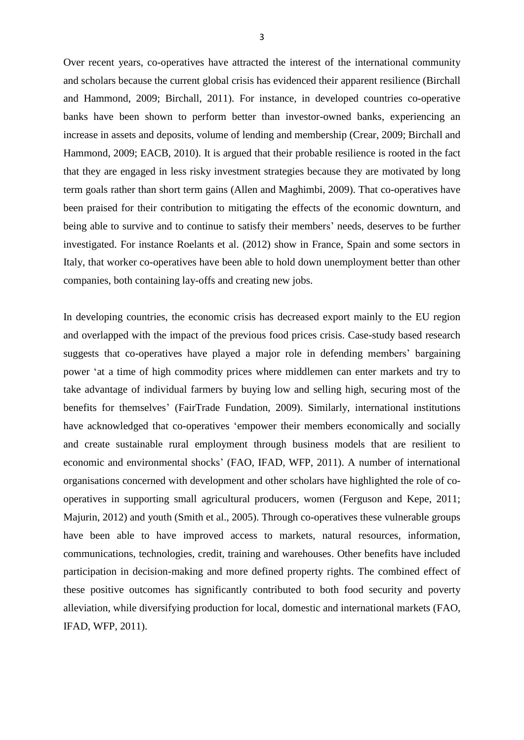Over recent years, co-operatives have attracted the interest of the international community and scholars because the current global crisis has evidenced their apparent resilience (Birchall and Hammond, 2009; Birchall, 2011). For instance, in developed countries co-operative banks have been shown to perform better than investor-owned banks, experiencing an increase in assets and deposits, volume of lending and membership (Crear, 2009; Birchall and Hammond, 2009; EACB, 2010). It is argued that their probable resilience is rooted in the fact that they are engaged in less risky investment strategies because they are motivated by long term goals rather than short term gains (Allen and Maghimbi, 2009). That co-operatives have been praised for their contribution to mitigating the effects of the economic downturn, and being able to survive and to continue to satisfy their members' needs, deserves to be further investigated. For instance Roelants et al. (2012) show in France, Spain and some sectors in Italy, that worker co-operatives have been able to hold down unemployment better than other companies, both containing lay-offs and creating new jobs.

In developing countries, the economic crisis has decreased export mainly to the EU region and overlapped with the impact of the previous food prices crisis. Case-study based research suggests that co-operatives have played a major role in defending members' bargaining power 'at a time of high commodity prices where middlemen can enter markets and try to take advantage of individual farmers by buying low and selling high, securing most of the benefits for themselves' (FairTrade Fundation, 2009). Similarly, international institutions have acknowledged that co-operatives 'empower their members economically and socially and create sustainable rural employment through business models that are resilient to economic and environmental shocks' (FAO, IFAD, WFP, 2011). A number of international organisations concerned with development and other scholars have highlighted the role of cooperatives in supporting small agricultural producers, women (Ferguson and Kepe, 2011; Majurin, 2012) and youth (Smith et al., 2005). Through co-operatives these vulnerable groups have been able to have improved access to markets, natural resources, information, communications, technologies, credit, training and warehouses. Other benefits have included participation in decision-making and more defined property rights. The combined effect of these positive outcomes has significantly contributed to both food security and poverty alleviation, while diversifying production for local, domestic and international markets (FAO, IFAD, WFP, 2011).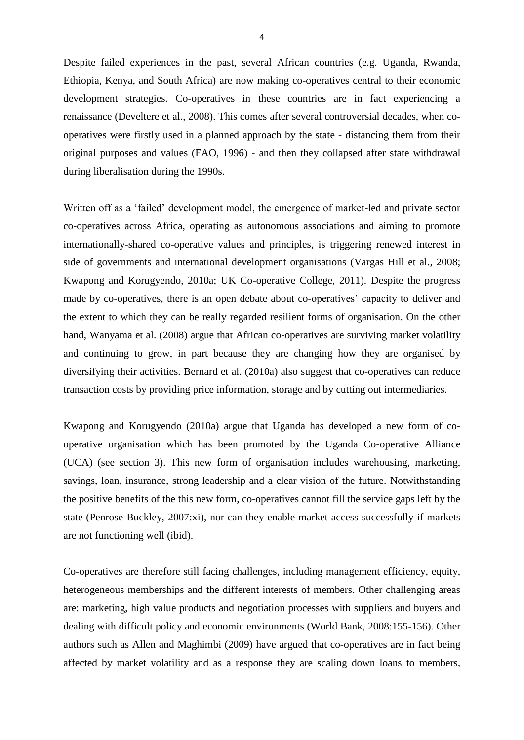Despite failed experiences in the past, several African countries (e.g. Uganda, Rwanda, Ethiopia, Kenya, and South Africa) are now making co-operatives central to their economic development strategies. Co-operatives in these countries are in fact experiencing a renaissance (Develtere et al., 2008). This comes after several controversial decades, when cooperatives were firstly used in a planned approach by the state - distancing them from their original purposes and values (FAO, 1996) - and then they collapsed after state withdrawal during liberalisation during the 1990s.

Written off as a 'failed' development model, the emergence of market-led and private sector co-operatives across Africa, operating as autonomous associations and aiming to promote internationally-shared co-operative values and principles, is triggering renewed interest in side of governments and international development organisations (Vargas Hill et al., 2008; Kwapong and Korugyendo, 2010a; UK Co-operative College, 2011). Despite the progress made by co-operatives, there is an open debate about co-operatives' capacity to deliver and the extent to which they can be really regarded resilient forms of organisation. On the other hand, Wanyama et al. (2008) argue that African co-operatives are surviving market volatility and continuing to grow, in part because they are changing how they are organised by diversifying their activities. Bernard et al. (2010a) also suggest that co-operatives can reduce transaction costs by providing price information, storage and by cutting out intermediaries.

Kwapong and Korugyendo (2010a) argue that Uganda has developed a new form of cooperative organisation which has been promoted by the Uganda Co-operative Alliance (UCA) (see section 3). This new form of organisation includes warehousing, marketing, savings, loan, insurance, strong leadership and a clear vision of the future. Notwithstanding the positive benefits of the this new form, co-operatives cannot fill the service gaps left by the state (Penrose-Buckley, 2007:xi), nor can they enable market access successfully if markets are not functioning well (ibid).

Co-operatives are therefore still facing challenges, including management efficiency, equity, heterogeneous memberships and the different interests of members. Other challenging areas are: marketing, high value products and negotiation processes with suppliers and buyers and dealing with difficult policy and economic environments (World Bank, 2008:155-156). Other authors such as Allen and Maghimbi (2009) have argued that co-operatives are in fact being affected by market volatility and as a response they are scaling down loans to members,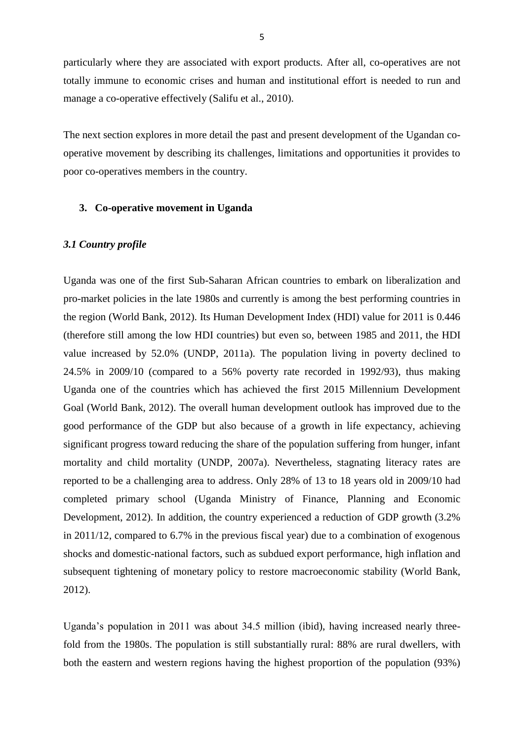particularly where they are associated with export products. After all, co-operatives are not totally immune to economic crises and human and institutional effort is needed to run and manage a co-operative effectively (Salifu et al., 2010).

The next section explores in more detail the past and present development of the Ugandan cooperative movement by describing its challenges, limitations and opportunities it provides to poor co-operatives members in the country.

## **3. Co-operative movement in Uganda**

#### *3.1 Country profile*

Uganda was one of the first Sub-Saharan African countries to embark on liberalization and pro-market policies in the late 1980s and currently is among the best performing countries in the region (World Bank, 2012). Its Human Development Index (HDI) value for 2011 is 0.446 (therefore still among the low HDI countries) but even so, between 1985 and 2011, the HDI value increased by 52.0% (UNDP, 2011a). The population living in poverty declined to 24.5% in 2009/10 (compared to a 56% poverty rate recorded in 1992/93), thus making Uganda one of the countries which has achieved the first 2015 Millennium Development Goal (World Bank, 2012). The overall human development outlook has improved due to the good performance of the GDP but also because of a growth in life expectancy, achieving significant progress toward reducing the share of the population suffering from hunger, infant mortality and child mortality (UNDP, 2007a). Nevertheless, stagnating literacy rates are reported to be a challenging area to address. Only 28% of 13 to 18 years old in 2009/10 had completed primary school (Uganda Ministry of Finance, Planning and Economic Development, 2012). In addition, the country experienced a reduction of GDP growth (3.2% in 2011/12, compared to 6.7% in the previous fiscal year) due to a combination of exogenous shocks and domestic-national factors, such as subdued export performance, high inflation and subsequent tightening of monetary policy to restore macroeconomic stability (World Bank, 2012).

Uganda's population in 2011 was about 34.5 million (ibid), having increased nearly threefold from the 1980s. The population is still substantially rural: 88% are rural dwellers, with both the eastern and western regions having the highest proportion of the population (93%)

5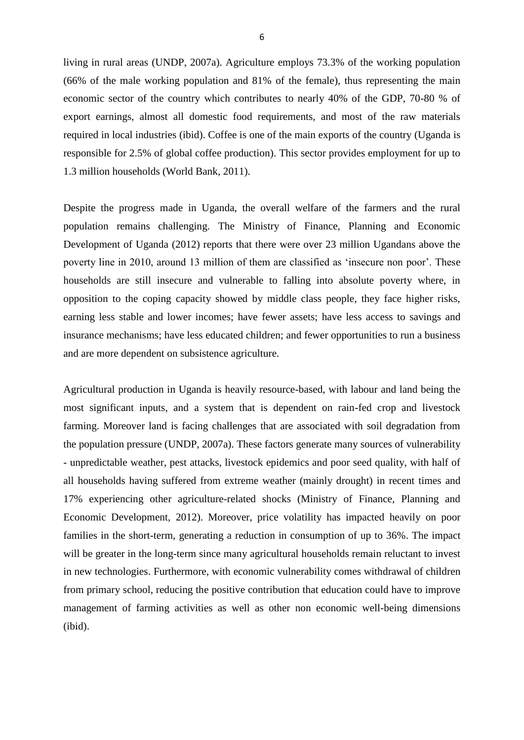living in rural areas (UNDP, 2007a). Agriculture employs 73.3% of the working population (66% of the male working population and 81% of the female), thus representing the main economic sector of the country which contributes to nearly 40% of the GDP, 70-80 % of export earnings, almost all domestic food requirements, and most of the raw materials required in local industries (ibid). Coffee is one of the main exports of the country (Uganda is responsible for 2.5% of global coffee production). This sector provides employment for up to 1.3 million households (World Bank, 2011).

Despite the progress made in Uganda, the overall welfare of the farmers and the rural population remains challenging. The Ministry of Finance, Planning and Economic Development of Uganda (2012) reports that there were over 23 million Ugandans above the poverty line in 2010, around 13 million of them are classified as 'insecure non poor'. These households are still insecure and vulnerable to falling into absolute poverty where, in opposition to the coping capacity showed by middle class people, they face higher risks, earning less stable and lower incomes; have fewer assets; have less access to savings and insurance mechanisms; have less educated children; and fewer opportunities to run a business and are more dependent on subsistence agriculture.

Agricultural production in Uganda is heavily resource-based, with labour and land being the most significant inputs, and a system that is dependent on rain-fed crop and livestock farming. Moreover land is facing challenges that are associated with soil degradation from the population pressure (UNDP, 2007a). These factors generate many sources of vulnerability - unpredictable weather, pest attacks, livestock epidemics and poor seed quality, with half of all households having suffered from extreme weather (mainly drought) in recent times and 17% experiencing other agriculture-related shocks (Ministry of Finance, Planning and Economic Development, 2012). Moreover, price volatility has impacted heavily on poor families in the short-term, generating a reduction in consumption of up to 36%. The impact will be greater in the long-term since many agricultural households remain reluctant to invest in new technologies. Furthermore, with economic vulnerability comes withdrawal of children from primary school, reducing the positive contribution that education could have to improve management of farming activities as well as other non economic well-being dimensions (ibid).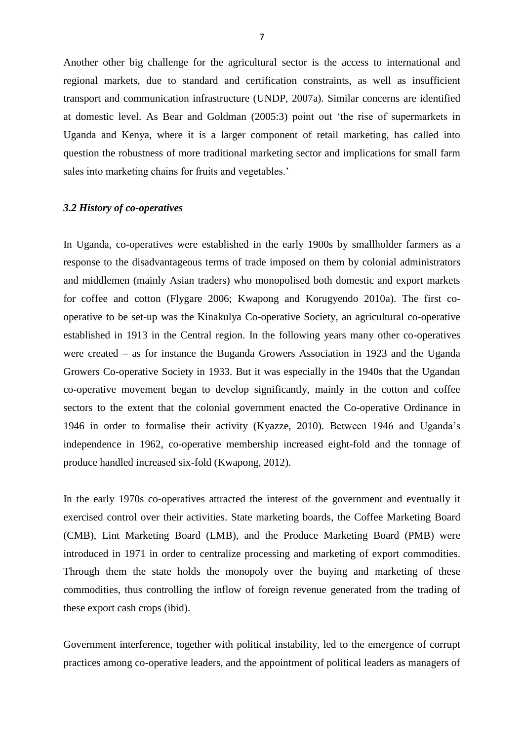Another other big challenge for the agricultural sector is the access to international and regional markets, due to standard and certification constraints, as well as insufficient transport and communication infrastructure (UNDP, 2007a). Similar concerns are identified at domestic level. As Bear and Goldman (2005:3) point out 'the rise of supermarkets in Uganda and Kenya, where it is a larger component of retail marketing, has called into question the robustness of more traditional marketing sector and implications for small farm sales into marketing chains for fruits and vegetables.'

## *3.2 History of co-operatives*

In Uganda, co-operatives were established in the early 1900s by smallholder farmers as a response to the disadvantageous terms of trade imposed on them by colonial administrators and middlemen (mainly Asian traders) who monopolised both domestic and export markets for coffee and cotton (Flygare 2006; Kwapong and Korugyendo 2010a). The first cooperative to be set-up was the Kinakulya Co-operative Society, an agricultural co-operative established in 1913 in the Central region. In the following years many other co-operatives were created – as for instance the Buganda Growers Association in 1923 and the Uganda Growers Co-operative Society in 1933. But it was especially in the 1940s that the Ugandan co-operative movement began to develop significantly, mainly in the cotton and coffee sectors to the extent that the colonial government enacted the Co-operative Ordinance in 1946 in order to formalise their activity (Kyazze, 2010). Between 1946 and Uganda's independence in 1962, co-operative membership increased eight-fold and the tonnage of produce handled increased six-fold (Kwapong, 2012).

In the early 1970s co-operatives attracted the interest of the government and eventually it exercised control over their activities. State marketing boards, the Coffee Marketing Board (CMB), Lint Marketing Board (LMB), and the Produce Marketing Board (PMB) were introduced in 1971 in order to centralize processing and marketing of export commodities. Through them the state holds the monopoly over the buying and marketing of these commodities, thus controlling the inflow of foreign revenue generated from the trading of these export cash crops (ibid).

Government interference, together with political instability, led to the emergence of corrupt practices among co-operative leaders, and the appointment of political leaders as managers of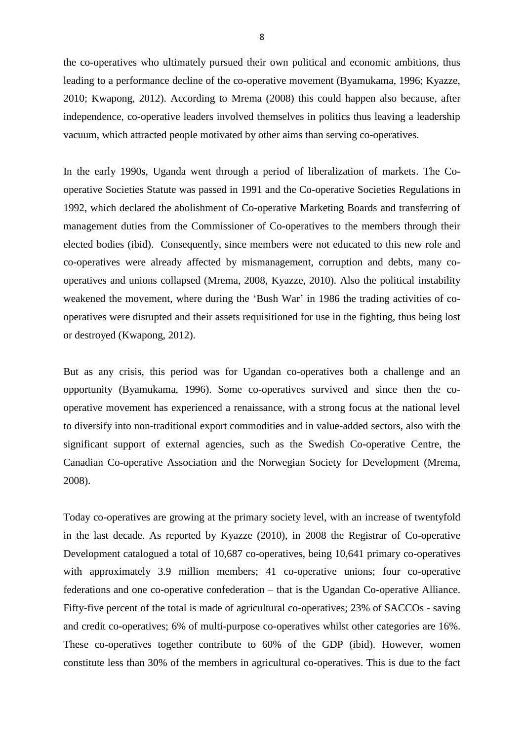the co-operatives who ultimately pursued their own political and economic ambitions, thus leading to a performance decline of the co-operative movement (Byamukama, 1996; Kyazze, 2010; Kwapong, 2012). According to Mrema (2008) this could happen also because, after independence, co-operative leaders involved themselves in politics thus leaving a leadership vacuum, which attracted people motivated by other aims than serving co-operatives.

In the early 1990s, Uganda went through a period of liberalization of markets. The Cooperative Societies Statute was passed in 1991 and the Co-operative Societies Regulations in 1992, which declared the abolishment of Co-operative Marketing Boards and transferring of management duties from the Commissioner of Co-operatives to the members through their elected bodies (ibid). Consequently, since members were not educated to this new role and co-operatives were already affected by mismanagement, corruption and debts, many cooperatives and unions collapsed (Mrema, 2008, Kyazze, 2010). Also the political instability weakened the movement, where during the 'Bush War' in 1986 the trading activities of cooperatives were disrupted and their assets requisitioned for use in the fighting, thus being lost or destroyed (Kwapong, 2012).

But as any crisis, this period was for Ugandan co-operatives both a challenge and an opportunity (Byamukama, 1996). Some co-operatives survived and since then the cooperative movement has experienced a renaissance, with a strong focus at the national level to diversify into non-traditional export commodities and in value-added sectors, also with the significant support of external agencies, such as the Swedish Co-operative Centre, the Canadian Co-operative Association and the Norwegian Society for Development (Mrema, 2008).

Today co-operatives are growing at the primary society level, with an increase of twentyfold in the last decade. As reported by Kyazze (2010), in 2008 the Registrar of Co-operative Development catalogued a total of 10,687 co-operatives, being 10,641 primary co-operatives with approximately 3.9 million members; 41 co-operative unions; four co-operative federations and one co-operative confederation – that is the Ugandan Co-operative Alliance. Fifty-five percent of the total is made of agricultural co-operatives; 23% of SACCOs - saving and credit co-operatives; 6% of multi-purpose co-operatives whilst other categories are 16%. These co-operatives together contribute to 60% of the GDP (ibid). However, women constitute less than 30% of the members in agricultural co-operatives. This is due to the fact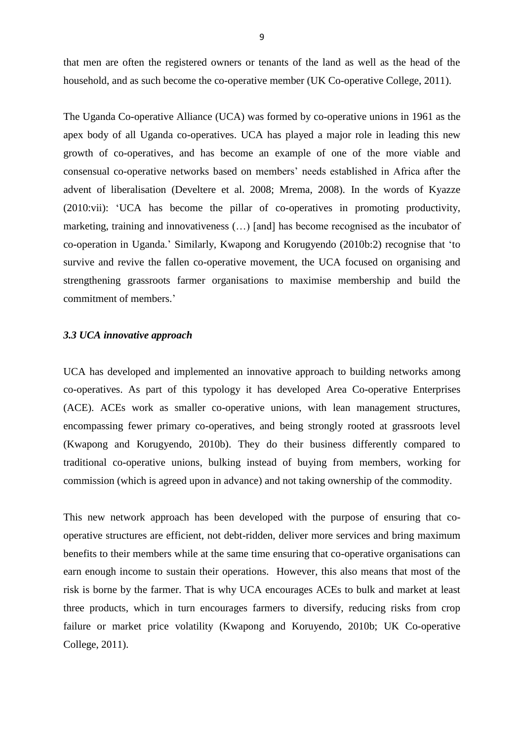that men are often the registered owners or tenants of the land as well as the head of the household, and as such become the co-operative member (UK Co-operative College, 2011).

The Uganda Co-operative Alliance (UCA) was formed by co-operative unions in 1961 as the apex body of all Uganda co-operatives. UCA has played a major role in leading this new growth of co-operatives, and has become an example of one of the more viable and consensual co-operative networks based on members' needs established in Africa after the advent of liberalisation (Develtere et al. 2008; Mrema, 2008). In the words of Kyazze (2010:vii): 'UCA has become the pillar of co-operatives in promoting productivity, marketing, training and innovativeness (…) [and] has become recognised as the incubator of co-operation in Uganda.' Similarly, Kwapong and Korugyendo (2010b:2) recognise that 'to survive and revive the fallen co-operative movement, the UCA focused on organising and strengthening grassroots farmer organisations to maximise membership and build the commitment of members.'

#### *3.3 UCA innovative approach*

UCA has developed and implemented an innovative approach to building networks among co-operatives. As part of this typology it has developed Area Co-operative Enterprises (ACE). ACEs work as smaller co-operative unions, with lean management structures, encompassing fewer primary co-operatives, and being strongly rooted at grassroots level (Kwapong and Korugyendo, 2010b). They do their business differently compared to traditional co-operative unions, bulking instead of buying from members, working for commission (which is agreed upon in advance) and not taking ownership of the commodity.

This new network approach has been developed with the purpose of ensuring that cooperative structures are efficient, not debt-ridden, deliver more services and bring maximum benefits to their members while at the same time ensuring that co-operative organisations can earn enough income to sustain their operations. However, this also means that most of the risk is borne by the farmer. That is why UCA encourages ACEs to bulk and market at least three products, which in turn encourages farmers to diversify, reducing risks from crop failure or market price volatility (Kwapong and Koruyendo, 2010b; UK Co-operative College, 2011).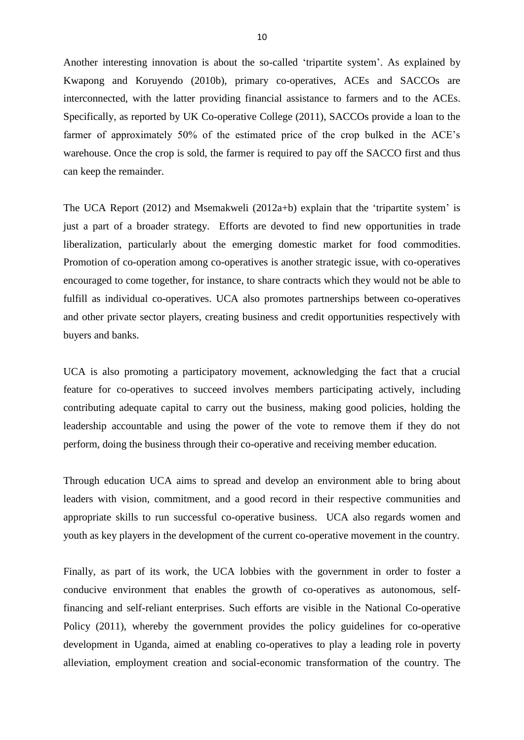Another interesting innovation is about the so-called 'tripartite system'. As explained by Kwapong and Koruyendo (2010b), primary co-operatives, ACEs and SACCOs are interconnected, with the latter providing financial assistance to farmers and to the ACEs. Specifically, as reported by UK Co-operative College (2011), SACCOs provide a loan to the farmer of approximately 50% of the estimated price of the crop bulked in the ACE's warehouse. Once the crop is sold, the farmer is required to pay off the SACCO first and thus can keep the remainder.

The UCA Report (2012) and Msemakweli (2012a+b) explain that the 'tripartite system' is just a part of a broader strategy. Efforts are devoted to find new opportunities in trade liberalization, particularly about the emerging domestic market for food commodities. Promotion of co-operation among co-operatives is another strategic issue, with co-operatives encouraged to come together, for instance, to share contracts which they would not be able to fulfill as individual co-operatives. UCA also promotes partnerships between co-operatives and other private sector players, creating business and credit opportunities respectively with buyers and banks.

UCA is also promoting a participatory movement, acknowledging the fact that a crucial feature for co-operatives to succeed involves members participating actively, including contributing adequate capital to carry out the business, making good policies, holding the leadership accountable and using the power of the vote to remove them if they do not perform, doing the business through their co-operative and receiving member education.

Through education UCA aims to spread and develop an environment able to bring about leaders with vision, commitment, and a good record in their respective communities and appropriate skills to run successful co-operative business. UCA also regards women and youth as key players in the development of the current co-operative movement in the country.

Finally, as part of its work, the UCA lobbies with the government in order to foster a conducive environment that enables the growth of co-operatives as autonomous, selffinancing and self-reliant enterprises. Such efforts are visible in the National Co-operative Policy (2011), whereby the government provides the policy guidelines for co-operative development in Uganda, aimed at enabling co-operatives to play a leading role in poverty alleviation, employment creation and social-economic transformation of the country. The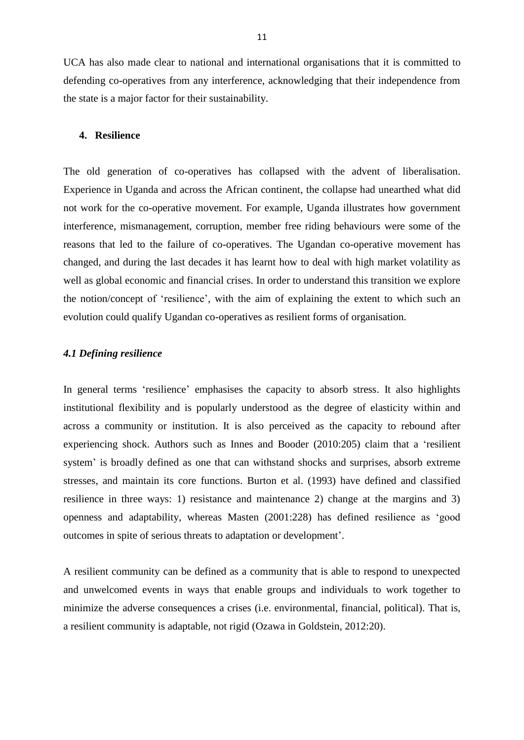UCA has also made clear to national and international organisations that it is committed to defending co-operatives from any interference, acknowledging that their independence from the state is a major factor for their sustainability.

#### **4. Resilience**

The old generation of co-operatives has collapsed with the advent of liberalisation. Experience in Uganda and across the African continent, the collapse had unearthed what did not work for the co-operative movement. For example, Uganda illustrates how government interference, mismanagement, corruption, member free riding behaviours were some of the reasons that led to the failure of co-operatives. The Ugandan co-operative movement has changed, and during the last decades it has learnt how to deal with high market volatility as well as global economic and financial crises. In order to understand this transition we explore the notion/concept of 'resilience', with the aim of explaining the extent to which such an evolution could qualify Ugandan co-operatives as resilient forms of organisation.

#### *4.1 Defining resilience*

In general terms 'resilience' emphasises the capacity to absorb stress. It also highlights institutional flexibility and is popularly understood as the degree of elasticity within and across a community or institution. It is also perceived as the capacity to rebound after experiencing shock. Authors such as Innes and Booder (2010:205) claim that a 'resilient system' is broadly defined as one that can withstand shocks and surprises, absorb extreme stresses, and maintain its core functions. Burton et al. (1993) have defined and classified resilience in three ways: 1) resistance and maintenance 2) change at the margins and 3) openness and adaptability, whereas Masten (2001:228) has defined resilience as 'good outcomes in spite of serious threats to adaptation or development'.

A resilient community can be defined as a community that is able to respond to unexpected and unwelcomed events in ways that enable groups and individuals to work together to minimize the adverse consequences a crises (i.e. environmental, financial, political). That is, a resilient community is adaptable, not rigid (Ozawa in Goldstein, 2012:20).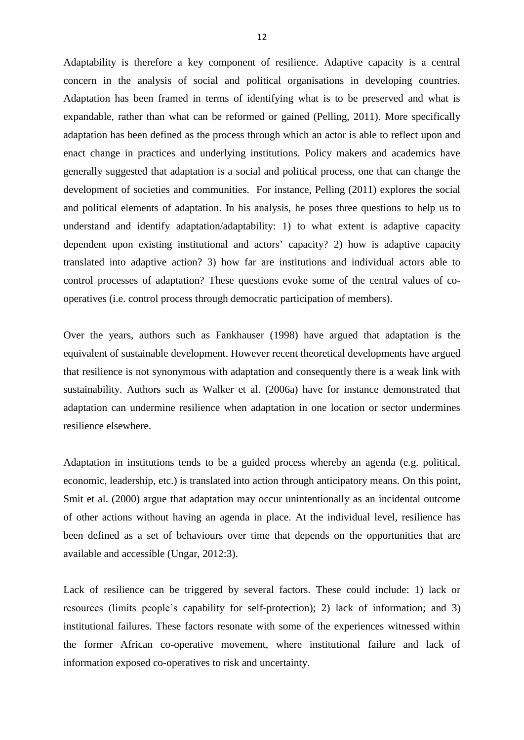Adaptability is therefore a key component of resilience. Adaptive capacity is a central concern in the analysis of social and political organisations in developing countries. Adaptation has been framed in terms of identifying what is to be preserved and what is expandable, rather than what can be reformed or gained (Pelling, 2011). More specifically adaptation has been defined as the process through which an actor is able to reflect upon and enact change in practices and underlying institutions. Policy makers and academics have generally suggested that adaptation is a social and political process, one that can change the development of societies and communities. For instance, Pelling (2011) explores the social and political elements of adaptation. In his analysis, he poses three questions to help us to understand and identify adaptation/adaptability: 1) to what extent is adaptive capacity dependent upon existing institutional and actors' capacity? 2) how is adaptive capacity translated into adaptive action? 3) how far are institutions and individual actors able to control processes of adaptation? These questions evoke some of the central values of cooperatives (i.e. control process through democratic participation of members).

Over the years, authors such as Fankhauser (1998) have argued that adaptation is the equivalent of sustainable development. However recent theoretical developments have argued that resilience is not synonymous with adaptation and consequently there is a weak link with sustainability. Authors such as Walker et al. (2006a) have for instance demonstrated that adaptation can undermine resilience when adaptation in one location or sector undermines resilience elsewhere.

Adaptation in institutions tends to be a guided process whereby an agenda (e.g. political, economic, leadership, etc.) is translated into action through anticipatory means. On this point, Smit et al. (2000) argue that adaptation may occur unintentionally as an incidental outcome of other actions without having an agenda in place. At the individual level, resilience has been defined as a set of behaviours over time that depends on the opportunities that are available and accessible (Ungar, 2012:3).

Lack of resilience can be triggered by several factors. These could include: 1) lack or resources (limits people's capability for self-protection); 2) lack of information; and 3) institutional failures. These factors resonate with some of the experiences witnessed within the former African co-operative movement, where institutional failure and lack of information exposed co-operatives to risk and uncertainty.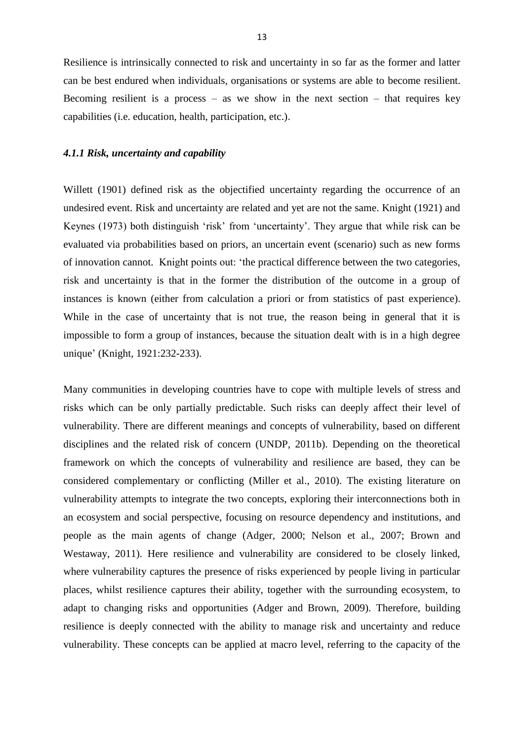Resilience is intrinsically connected to risk and uncertainty in so far as the former and latter can be best endured when individuals, organisations or systems are able to become resilient. Becoming resilient is a process  $-$  as we show in the next section  $-$  that requires key capabilities (i.e. education, health, participation, etc.).

### *4.1.1 Risk, uncertainty and capability*

Willett (1901) defined risk as the objectified uncertainty regarding the occurrence of an undesired event. Risk and uncertainty are related and yet are not the same. Knight (1921) and Keynes (1973) both distinguish 'risk' from 'uncertainty'. They argue that while risk can be evaluated via probabilities based on priors, an uncertain event (scenario) such as new forms of innovation cannot. Knight points out: 'the practical difference between the two categories, risk and uncertainty is that in the former the distribution of the outcome in a group of instances is known (either from calculation a priori or from statistics of past experience). While in the case of uncertainty that is not true, the reason being in general that it is impossible to form a group of instances, because the situation dealt with is in a high degree unique' (Knight, 1921:232-233).

Many communities in developing countries have to cope with multiple levels of stress and risks which can be only partially predictable. Such risks can deeply affect their level of vulnerability. There are different meanings and concepts of vulnerability, based on different disciplines and the related risk of concern (UNDP, 2011b). Depending on the theoretical framework on which the concepts of vulnerability and resilience are based, they can be considered complementary or conflicting (Miller et al., 2010). The existing literature on vulnerability attempts to integrate the two concepts, exploring their interconnections both in an ecosystem and social perspective, focusing on resource dependency and institutions, and people as the main agents of change (Adger, 2000; Nelson et al., 2007; Brown and Westaway, 2011). Here resilience and vulnerability are considered to be closely linked, where vulnerability captures the presence of risks experienced by people living in particular places, whilst resilience captures their ability, together with the surrounding ecosystem, to adapt to changing risks and opportunities (Adger and Brown, 2009). Therefore, building resilience is deeply connected with the ability to manage risk and uncertainty and reduce vulnerability. These concepts can be applied at macro level, referring to the capacity of the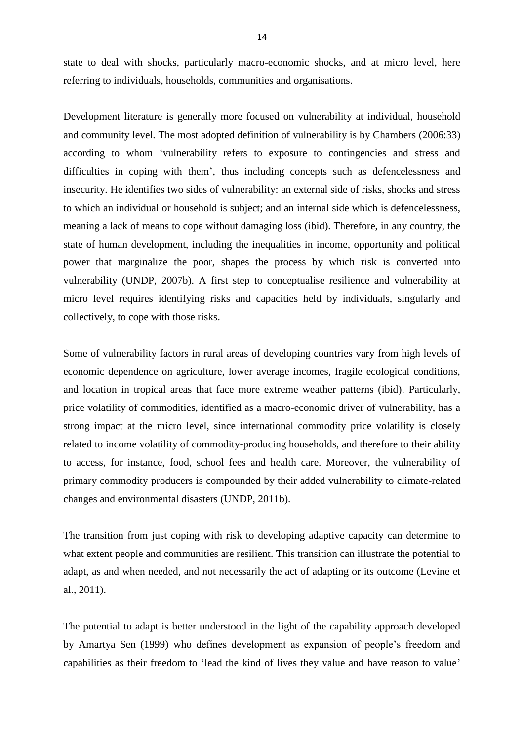state to deal with shocks, particularly macro-economic shocks, and at micro level, here referring to individuals, households, communities and organisations.

Development literature is generally more focused on vulnerability at individual, household and community level. The most adopted definition of vulnerability is by Chambers (2006:33) according to whom 'vulnerability refers to exposure to contingencies and stress and difficulties in coping with them', thus including concepts such as defencelessness and insecurity. He identifies two sides of vulnerability: an external side of risks, shocks and stress to which an individual or household is subject; and an internal side which is defencelessness, meaning a lack of means to cope without damaging loss (ibid). Therefore, in any country, the state of human development, including the inequalities in income, opportunity and political power that marginalize the poor, shapes the process by which risk is converted into vulnerability (UNDP, 2007b). A first step to conceptualise resilience and vulnerability at micro level requires identifying risks and capacities held by individuals, singularly and collectively, to cope with those risks.

Some of vulnerability factors in rural areas of developing countries vary from high levels of economic dependence on agriculture, lower average incomes, fragile ecological conditions, and location in tropical areas that face more extreme weather patterns (ibid). Particularly, price volatility of commodities, identified as a macro-economic driver of vulnerability, has a strong impact at the micro level, since international commodity price volatility is closely related to income volatility of commodity-producing households, and therefore to their ability to access, for instance, food, school fees and health care. Moreover, the vulnerability of primary commodity producers is compounded by their added vulnerability to climate-related changes and environmental disasters (UNDP, 2011b).

The transition from just coping with risk to developing adaptive capacity can determine to what extent people and communities are resilient. This transition can illustrate the potential to adapt, as and when needed, and not necessarily the act of adapting or its outcome (Levine et al., 2011).

The potential to adapt is better understood in the light of the capability approach developed by Amartya Sen (1999) who defines development as expansion of people's freedom and capabilities as their freedom to 'lead the kind of lives they value and have reason to value'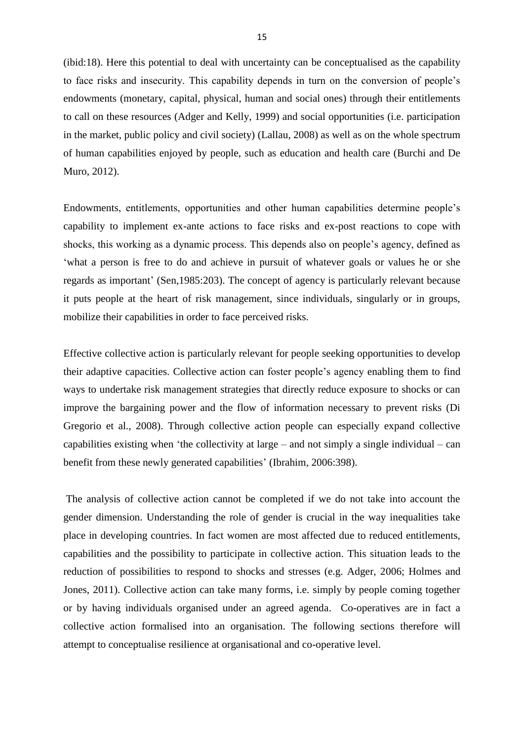(ibid:18). Here this potential to deal with uncertainty can be conceptualised as the capability to face risks and insecurity. This capability depends in turn on the conversion of people's endowments (monetary, capital, physical, human and social ones) through their entitlements to call on these resources (Adger and Kelly, 1999) and social opportunities (i.e. participation in the market, public policy and civil society) (Lallau, 2008) as well as on the whole spectrum of human capabilities enjoyed by people, such as education and health care (Burchi and De Muro, 2012).

Endowments, entitlements, opportunities and other human capabilities determine people's capability to implement ex-ante actions to face risks and ex-post reactions to cope with shocks, this working as a dynamic process. This depends also on people's agency, defined as 'what a person is free to do and achieve in pursuit of whatever goals or values he or she regards as important' (Sen,1985:203). The concept of agency is particularly relevant because it puts people at the heart of risk management, since individuals, singularly or in groups, mobilize their capabilities in order to face perceived risks.

Effective collective action is particularly relevant for people seeking opportunities to develop their adaptive capacities. Collective action can foster people's agency enabling them to find ways to undertake risk management strategies that directly reduce exposure to shocks or can improve the bargaining power and the flow of information necessary to prevent risks (Di Gregorio et al., 2008). Through collective action people can especially expand collective capabilities existing when 'the collectivity at large – and not simply a single individual – can benefit from these newly generated capabilities' (Ibrahim, 2006:398).

The analysis of collective action cannot be completed if we do not take into account the gender dimension. Understanding the role of gender is crucial in the way inequalities take place in developing countries. In fact women are most affected due to reduced entitlements, capabilities and the possibility to participate in collective action. This situation leads to the reduction of possibilities to respond to shocks and stresses (e.g. Adger, 2006; Holmes and Jones, 2011). Collective action can take many forms, i.e. simply by people coming together or by having individuals organised under an agreed agenda. Co-operatives are in fact a collective action formalised into an organisation. The following sections therefore will attempt to conceptualise resilience at organisational and co-operative level.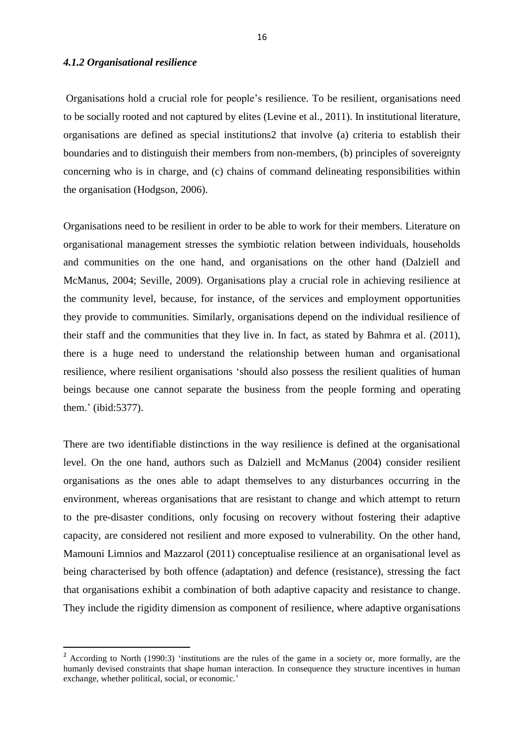## *4.1.2 Organisational resilience*

1

Organisations hold a crucial role for people's resilience. To be resilient, organisations need to be socially rooted and not captured by elites (Levine et al., 2011). In institutional literature, organisations are defined as special institutions2 that involve (a) criteria to establish their boundaries and to distinguish their members from non-members, (b) principles of sovereignty concerning who is in charge, and (c) chains of command delineating responsibilities within the organisation (Hodgson, 2006).

Organisations need to be resilient in order to be able to work for their members. Literature on organisational management stresses the symbiotic relation between individuals, households and communities on the one hand, and organisations on the other hand (Dalziell and McManus, 2004; Seville, 2009). Organisations play a crucial role in achieving resilience at the community level, because, for instance, of the services and employment opportunities they provide to communities. Similarly, organisations depend on the individual resilience of their staff and the communities that they live in. In fact, as stated by Bahmra et al. (2011), there is a huge need to understand the relationship between human and organisational resilience, where resilient organisations 'should also possess the resilient qualities of human beings because one cannot separate the business from the people forming and operating them.' (ibid:5377).

There are two identifiable distinctions in the way resilience is defined at the organisational level. On the one hand, authors such as Dalziell and McManus (2004) consider resilient organisations as the ones able to adapt themselves to any disturbances occurring in the environment, whereas organisations that are resistant to change and which attempt to return to the pre-disaster conditions, only focusing on recovery without fostering their adaptive capacity, are considered not resilient and more exposed to vulnerability. On the other hand, Mamouni Limnios and Mazzarol (2011) conceptualise resilience at an organisational level as being characterised by both offence (adaptation) and defence (resistance), stressing the fact that organisations exhibit a combination of both adaptive capacity and resistance to change. They include the rigidity dimension as component of resilience, where adaptive organisations

<sup>&</sup>lt;sup>2</sup> According to North (1990:3) 'institutions are the rules of the game in a society or, more formally, are the humanly devised constraints that shape human interaction. In consequence they structure incentives in human exchange, whether political, social, or economic.'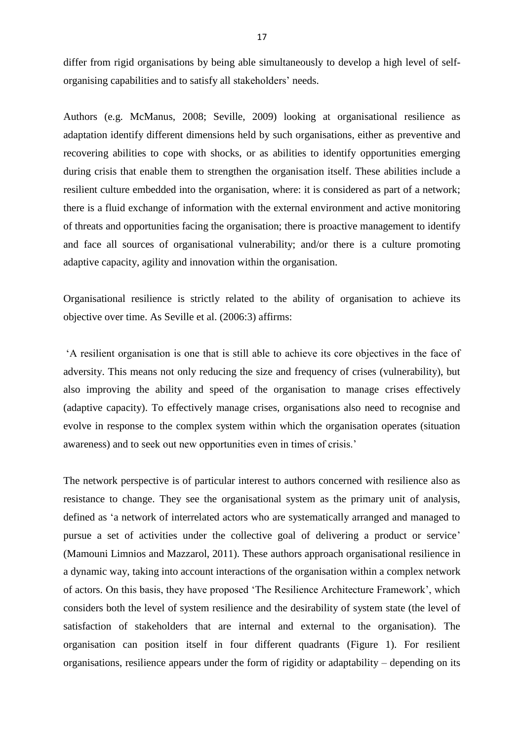differ from rigid organisations by being able simultaneously to develop a high level of selforganising capabilities and to satisfy all stakeholders' needs.

Authors (e.g. McManus, 2008; Seville, 2009) looking at organisational resilience as adaptation identify different dimensions held by such organisations, either as preventive and recovering abilities to cope with shocks, or as abilities to identify opportunities emerging during crisis that enable them to strengthen the organisation itself. These abilities include a resilient culture embedded into the organisation, where: it is considered as part of a network; there is a fluid exchange of information with the external environment and active monitoring of threats and opportunities facing the organisation; there is proactive management to identify and face all sources of organisational vulnerability; and/or there is a culture promoting adaptive capacity, agility and innovation within the organisation.

Organisational resilience is strictly related to the ability of organisation to achieve its objective over time. As Seville et al. (2006:3) affirms:

'A resilient organisation is one that is still able to achieve its core objectives in the face of adversity. This means not only reducing the size and frequency of crises (vulnerability), but also improving the ability and speed of the organisation to manage crises effectively (adaptive capacity). To effectively manage crises, organisations also need to recognise and evolve in response to the complex system within which the organisation operates (situation awareness) and to seek out new opportunities even in times of crisis.'

The network perspective is of particular interest to authors concerned with resilience also as resistance to change. They see the organisational system as the primary unit of analysis, defined as 'a network of interrelated actors who are systematically arranged and managed to pursue a set of activities under the collective goal of delivering a product or service' (Mamouni Limnios and Mazzarol, 2011). These authors approach organisational resilience in a dynamic way, taking into account interactions of the organisation within a complex network of actors. On this basis, they have proposed 'The Resilience Architecture Framework', which considers both the level of system resilience and the desirability of system state (the level of satisfaction of stakeholders that are internal and external to the organisation). The organisation can position itself in four different quadrants (Figure 1). For resilient organisations, resilience appears under the form of rigidity or adaptability – depending on its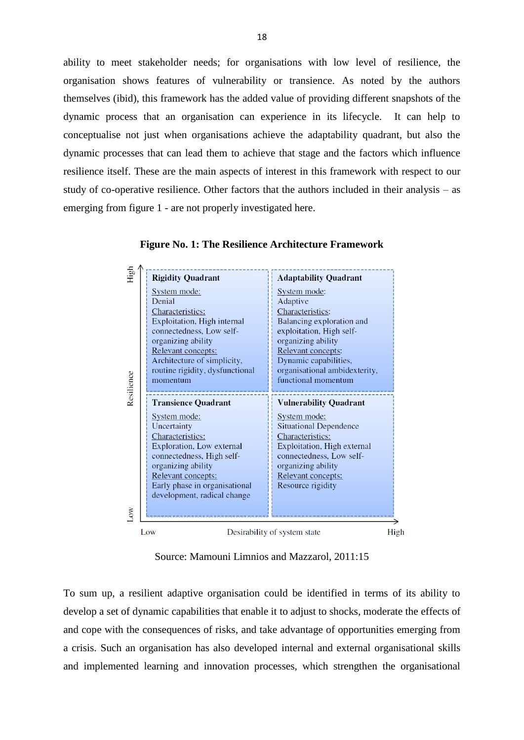ability to meet stakeholder needs; for organisations with low level of resilience, the organisation shows features of vulnerability or transience. As noted by the authors themselves (ibid), this framework has the added value of providing different snapshots of the dynamic process that an organisation can experience in its lifecycle. It can help to conceptualise not just when organisations achieve the adaptability quadrant, but also the dynamic processes that can lead them to achieve that stage and the factors which influence resilience itself. These are the main aspects of interest in this framework with respect to our study of co-operative resilience. Other factors that the authors included in their analysis – as emerging from figure 1 - are not properly investigated here.

| Denial<br>Resilience | System mode:<br>Characteristics:<br>Exploitation, High internal<br>connectedness, Low self-<br>organizing ability<br>Relevant concepts:<br>Architecture of simplicity,<br>routine rigidity, dysfunctional<br>momentum<br><b>Transience Quadrant</b> | System mode:<br>Adaptive<br>Characteristics:<br>Balancing exploration and<br>exploitation, High self-<br>organizing ability<br>Relevant concepts:<br>Dynamic capabilities,<br>organisational ambidexterity,<br>functional momentum<br><b>Vulnerability Quadrant</b> |
|----------------------|-----------------------------------------------------------------------------------------------------------------------------------------------------------------------------------------------------------------------------------------------------|---------------------------------------------------------------------------------------------------------------------------------------------------------------------------------------------------------------------------------------------------------------------|
|                      |                                                                                                                                                                                                                                                     |                                                                                                                                                                                                                                                                     |
| δŇ                   | System mode:<br>Uncertainty<br>Characteristics:<br>Exploration, Low external<br>connectedness, High self-<br>organizing ability<br>Relevant concepts:<br>Early phase in organisational<br>development, radical change                               | System mode:<br><b>Situational Dependence</b><br>Characteristics:<br>Exploitation, High external<br>connectedness, Low self-<br>organizing ability<br>Relevant concepts:<br>Resource rigidity                                                                       |

**Figure No. 1: The Resilience Architecture Framework**

Source: Mamouni Limnios and Mazzarol, 2011:15

To sum up, a resilient adaptive organisation could be identified in terms of its ability to develop a set of dynamic capabilities that enable it to adjust to shocks, moderate the effects of and cope with the consequences of risks, and take advantage of opportunities emerging from a crisis. Such an organisation has also developed internal and external organisational skills and implemented learning and innovation processes, which strengthen the organisational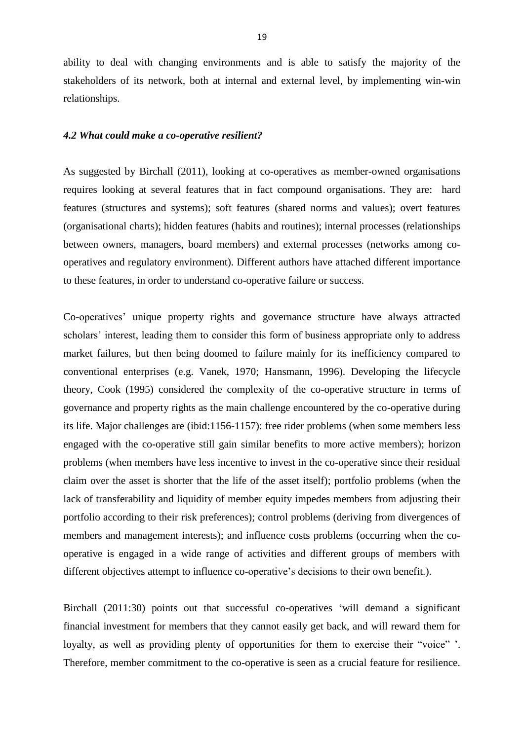ability to deal with changing environments and is able to satisfy the majority of the stakeholders of its network, both at internal and external level, by implementing win-win relationships.

#### *4.2 What could make a co-operative resilient?*

As suggested by Birchall (2011), looking at co-operatives as member-owned organisations requires looking at several features that in fact compound organisations. They are: hard features (structures and systems); soft features (shared norms and values); overt features (organisational charts); hidden features (habits and routines); internal processes (relationships between owners, managers, board members) and external processes (networks among cooperatives and regulatory environment). Different authors have attached different importance to these features, in order to understand co-operative failure or success.

Co-operatives' unique property rights and governance structure have always attracted scholars' interest, leading them to consider this form of business appropriate only to address market failures, but then being doomed to failure mainly for its inefficiency compared to conventional enterprises (e.g. Vanek, 1970; Hansmann, 1996). Developing the lifecycle theory, Cook (1995) considered the complexity of the co-operative structure in terms of governance and property rights as the main challenge encountered by the co-operative during its life. Major challenges are (ibid:1156-1157): free rider problems (when some members less engaged with the co-operative still gain similar benefits to more active members); horizon problems (when members have less incentive to invest in the co-operative since their residual claim over the asset is shorter that the life of the asset itself); portfolio problems (when the lack of transferability and liquidity of member equity impedes members from adjusting their portfolio according to their risk preferences); control problems (deriving from divergences of members and management interests); and influence costs problems (occurring when the cooperative is engaged in a wide range of activities and different groups of members with different objectives attempt to influence co-operative's decisions to their own benefit.).

Birchall (2011:30) points out that successful co-operatives 'will demand a significant financial investment for members that they cannot easily get back, and will reward them for loyalty, as well as providing plenty of opportunities for them to exercise their "voice" '. Therefore, member commitment to the co-operative is seen as a crucial feature for resilience.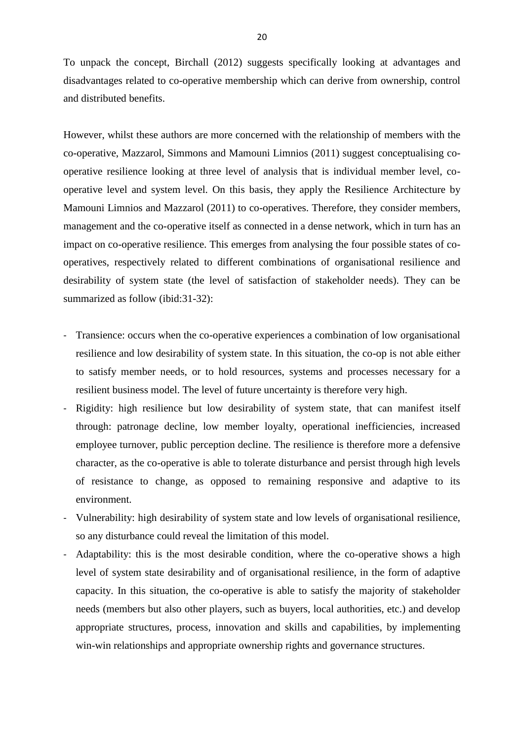To unpack the concept, Birchall (2012) suggests specifically looking at advantages and disadvantages related to co-operative membership which can derive from ownership, control and distributed benefits.

However, whilst these authors are more concerned with the relationship of members with the co-operative, Mazzarol, Simmons and Mamouni Limnios (2011) suggest conceptualising cooperative resilience looking at three level of analysis that is individual member level, cooperative level and system level. On this basis, they apply the Resilience Architecture by Mamouni Limnios and Mazzarol (2011) to co-operatives. Therefore, they consider members, management and the co-operative itself as connected in a dense network, which in turn has an impact on co-operative resilience. This emerges from analysing the four possible states of cooperatives, respectively related to different combinations of organisational resilience and desirability of system state (the level of satisfaction of stakeholder needs). They can be summarized as follow (ibid:31-32):

- Transience: occurs when the co-operative experiences a combination of low organisational resilience and low desirability of system state. In this situation, the co-op is not able either to satisfy member needs, or to hold resources, systems and processes necessary for a resilient business model. The level of future uncertainty is therefore very high.
- Rigidity: high resilience but low desirability of system state, that can manifest itself through: patronage decline, low member loyalty, operational inefficiencies, increased employee turnover, public perception decline. The resilience is therefore more a defensive character, as the co-operative is able to tolerate disturbance and persist through high levels of resistance to change, as opposed to remaining responsive and adaptive to its environment.
- Vulnerability: high desirability of system state and low levels of organisational resilience, so any disturbance could reveal the limitation of this model.
- Adaptability: this is the most desirable condition, where the co-operative shows a high level of system state desirability and of organisational resilience, in the form of adaptive capacity. In this situation, the co-operative is able to satisfy the majority of stakeholder needs (members but also other players, such as buyers, local authorities, etc.) and develop appropriate structures, process, innovation and skills and capabilities, by implementing win-win relationships and appropriate ownership rights and governance structures.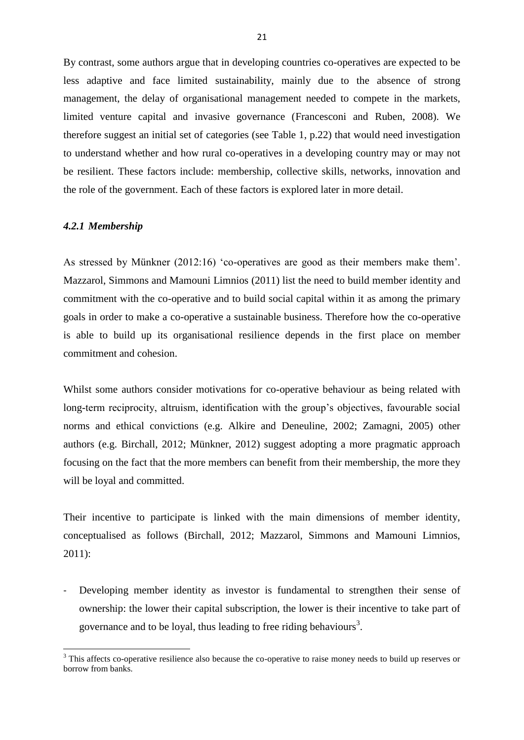By contrast, some authors argue that in developing countries co-operatives are expected to be less adaptive and face limited sustainability, mainly due to the absence of strong management, the delay of organisational management needed to compete in the markets, limited venture capital and invasive governance (Francesconi and Ruben, 2008). We therefore suggest an initial set of categories (see Table 1, p.22) that would need investigation to understand whether and how rural co-operatives in a developing country may or may not be resilient. These factors include: membership, collective skills, networks, innovation and the role of the government. Each of these factors is explored later in more detail.

#### *4.2.1 Membership*

1

As stressed by Münkner (2012:16) 'co-operatives are good as their members make them'. Mazzarol, Simmons and Mamouni Limnios (2011) list the need to build member identity and commitment with the co-operative and to build social capital within it as among the primary goals in order to make a co-operative a sustainable business. Therefore how the co-operative is able to build up its organisational resilience depends in the first place on member commitment and cohesion.

Whilst some authors consider motivations for co-operative behaviour as being related with long-term reciprocity, altruism, identification with the group's objectives, favourable social norms and ethical convictions (e.g. Alkire and Deneuline, 2002; Zamagni, 2005) other authors (e.g. Birchall, 2012; Münkner, 2012) suggest adopting a more pragmatic approach focusing on the fact that the more members can benefit from their membership, the more they will be loyal and committed.

Their incentive to participate is linked with the main dimensions of member identity, conceptualised as follows (Birchall, 2012; Mazzarol, Simmons and Mamouni Limnios, 2011):

Developing member identity as investor is fundamental to strengthen their sense of ownership: the lower their capital subscription, the lower is their incentive to take part of governance and to be loyal, thus leading to free riding behaviours<sup>3</sup>.

 $3$  This affects co-operative resilience also because the co-operative to raise money needs to build up reserves or borrow from banks.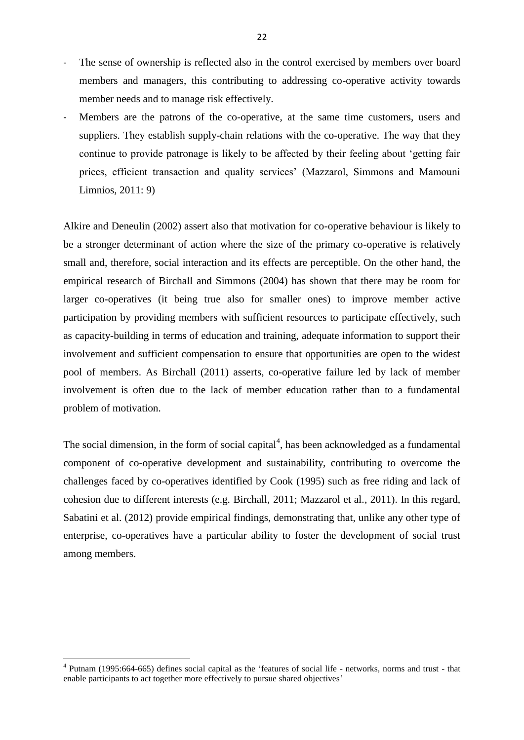- The sense of ownership is reflected also in the control exercised by members over board members and managers, this contributing to addressing co-operative activity towards member needs and to manage risk effectively.
- Members are the patrons of the co-operative, at the same time customers, users and suppliers. They establish supply-chain relations with the co-operative. The way that they continue to provide patronage is likely to be affected by their feeling about 'getting fair prices, efficient transaction and quality services' (Mazzarol, Simmons and Mamouni Limnios, 2011: 9)

Alkire and Deneulin (2002) assert also that motivation for co-operative behaviour is likely to be a stronger determinant of action where the size of the primary co-operative is relatively small and, therefore, social interaction and its effects are perceptible. On the other hand, the empirical research of Birchall and Simmons (2004) has shown that there may be room for larger co-operatives (it being true also for smaller ones) to improve member active participation by providing members with sufficient resources to participate effectively, such as capacity-building in terms of education and training, adequate information to support their involvement and sufficient compensation to ensure that opportunities are open to the widest pool of members. As Birchall (2011) asserts, co-operative failure led by lack of member involvement is often due to the lack of member education rather than to a fundamental problem of motivation.

The social dimension, in the form of social capital $<sup>4</sup>$ , has been acknowledged as a fundamental</sup> component of co-operative development and sustainability, contributing to overcome the challenges faced by co-operatives identified by Cook (1995) such as free riding and lack of cohesion due to different interests (e.g. Birchall, 2011; Mazzarol et al., 2011). In this regard, Sabatini et al. (2012) provide empirical findings, demonstrating that, unlike any other type of enterprise, co-operatives have a particular ability to foster the development of social trust among members.

**.** 

<sup>&</sup>lt;sup>4</sup> Putnam (1995:664-665) defines social capital as the 'features of social life - networks, norms and trust - that enable participants to act together more effectively to pursue shared objectives'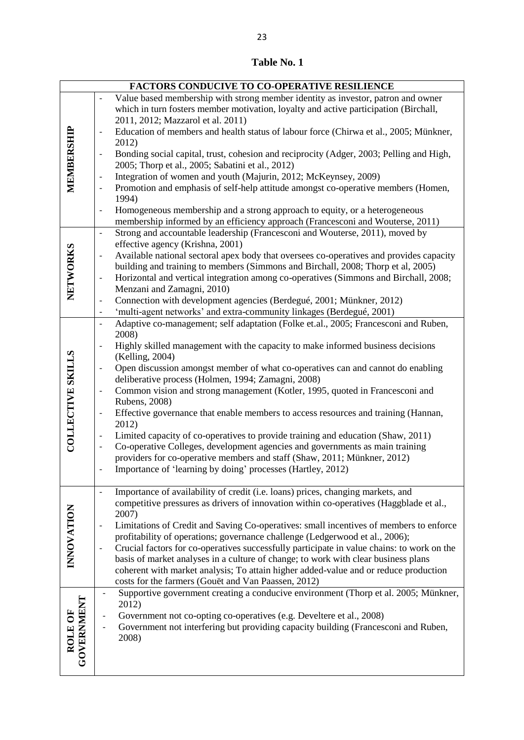| Table No. 1 |  |
|-------------|--|
|-------------|--|

| <b>FACTORS CONDUCIVE TO CO-OPERATIVE RESILIENCE</b> |                              |                                                                                                                                                                                                               |  |  |
|-----------------------------------------------------|------------------------------|---------------------------------------------------------------------------------------------------------------------------------------------------------------------------------------------------------------|--|--|
| MEMBERSHIP                                          | $\overline{a}$               | Value based membership with strong member identity as investor, patron and owner<br>which in turn fosters member motivation, loyalty and active participation (Birchall,<br>2011, 2012; Mazzarol et al. 2011) |  |  |
|                                                     | $\overline{\phantom{0}}$     | Education of members and health status of labour force (Chirwa et al., 2005; Münkner,<br>2012)                                                                                                                |  |  |
|                                                     | -                            | Bonding social capital, trust, cohesion and reciprocity (Adger, 2003; Pelling and High,                                                                                                                       |  |  |
|                                                     | $\qquad \qquad -$            | 2005; Thorp et al., 2005; Sabatini et al., 2012)<br>Integration of women and youth (Majurin, 2012; McKeynsey, 2009)                                                                                           |  |  |
|                                                     | $\qquad \qquad -$            | Promotion and emphasis of self-help attitude amongst co-operative members (Homen,                                                                                                                             |  |  |
|                                                     | $\overline{\phantom{0}}$     | 1994)<br>Homogeneous membership and a strong approach to equity, or a heterogeneous                                                                                                                           |  |  |
|                                                     |                              | membership informed by an efficiency approach (Francesconi and Wouterse, 2011)                                                                                                                                |  |  |
|                                                     | $\frac{1}{2}$                | Strong and accountable leadership (Francesconi and Wouterse, 2011), moved by<br>effective agency (Krishna, 2001)                                                                                              |  |  |
|                                                     | $\qquad \qquad -$            | Available national sectoral apex body that oversees co-operatives and provides capacity                                                                                                                       |  |  |
|                                                     |                              | building and training to members (Simmons and Birchall, 2008; Thorp et al, 2005)                                                                                                                              |  |  |
|                                                     | $\qquad \qquad -$            | Horizontal and vertical integration among co-operatives (Simmons and Birchall, 2008;                                                                                                                          |  |  |
| NETWORKS                                            |                              | Menzani and Zamagni, 2010)                                                                                                                                                                                    |  |  |
|                                                     | $\qquad \qquad -$            | Connection with development agencies (Berdegué, 2001; Münkner, 2012)                                                                                                                                          |  |  |
|                                                     | $\overline{\phantom{0}}$     | 'multi-agent networks' and extra-community linkages (Berdegué, 2001)                                                                                                                                          |  |  |
|                                                     | $\qquad \qquad -$            | Adaptive co-management; self adaptation (Folke et.al., 2005; Francesconi and Ruben,                                                                                                                           |  |  |
|                                                     |                              | 2008)                                                                                                                                                                                                         |  |  |
|                                                     | $\qquad \qquad -$            | Highly skilled management with the capacity to make informed business decisions                                                                                                                               |  |  |
|                                                     |                              | (Kelling, 2004)                                                                                                                                                                                               |  |  |
| <b>COLLECTIVE SKILLS</b>                            | -                            | Open discussion amongst member of what co-operatives can and cannot do enabling<br>deliberative process (Holmen, 1994; Zamagni, 2008)                                                                         |  |  |
|                                                     | $\qquad \qquad -$            | Common vision and strong management (Kotler, 1995, quoted in Francesconi and                                                                                                                                  |  |  |
|                                                     |                              | Rubens, 2008)                                                                                                                                                                                                 |  |  |
|                                                     | $\overline{\phantom{0}}$     | Effective governance that enable members to access resources and training (Hannan,<br>2012)                                                                                                                   |  |  |
|                                                     | $\qquad \qquad -$            | Limited capacity of co-operatives to provide training and education (Shaw, 2011)                                                                                                                              |  |  |
|                                                     | $\qquad \qquad -$            | Co-operative Colleges, development agencies and governments as main training                                                                                                                                  |  |  |
|                                                     |                              | providers for co-operative members and staff (Shaw, 2011; Münkner, 2012)                                                                                                                                      |  |  |
|                                                     |                              | Importance of 'learning by doing' processes (Hartley, 2012)                                                                                                                                                   |  |  |
|                                                     |                              |                                                                                                                                                                                                               |  |  |
|                                                     | $\qquad \qquad \blacksquare$ | Importance of availability of credit (i.e. loans) prices, changing markets, and                                                                                                                               |  |  |
|                                                     |                              | competitive pressures as drivers of innovation within co-operatives (Haggblade et al.,<br>2007)                                                                                                               |  |  |
| <b>INNOVATION</b>                                   | $\qquad \qquad -$            | Limitations of Credit and Saving Co-operatives: small incentives of members to enforce                                                                                                                        |  |  |
|                                                     |                              | profitability of operations; governance challenge (Ledgerwood et al., 2006);                                                                                                                                  |  |  |
|                                                     |                              | Crucial factors for co-operatives successfully participate in value chains: to work on the                                                                                                                    |  |  |
|                                                     |                              | basis of market analyses in a culture of change; to work with clear business plans                                                                                                                            |  |  |
|                                                     |                              | coherent with market analysis; To attain higher added-value and or reduce production                                                                                                                          |  |  |
|                                                     |                              | costs for the farmers (Gouët and Van Paassen, 2012)                                                                                                                                                           |  |  |
|                                                     |                              | Supportive government creating a conducive environment (Thorp et al. 2005; Münkner,                                                                                                                           |  |  |
|                                                     |                              | 2012)                                                                                                                                                                                                         |  |  |
|                                                     |                              | Government not co-opting co-operatives (e.g. Develtere et al., 2008)<br>Government not interfering but providing capacity building (Francesconi and Ruben,                                                    |  |  |
|                                                     |                              | 2008)                                                                                                                                                                                                         |  |  |
| <b>GOVERNMENT</b><br>ROLE OF                        |                              |                                                                                                                                                                                                               |  |  |
|                                                     |                              |                                                                                                                                                                                                               |  |  |
|                                                     |                              |                                                                                                                                                                                                               |  |  |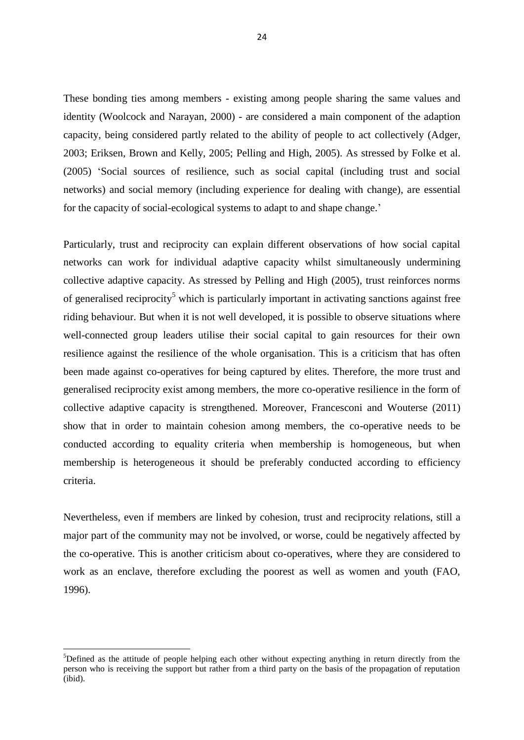These bonding ties among members - existing among people sharing the same values and identity (Woolcock and Narayan, 2000) - are considered a main component of the adaption capacity, being considered partly related to the ability of people to act collectively (Adger, 2003; Eriksen, Brown and Kelly, 2005; Pelling and High, 2005). As stressed by Folke et al. (2005) 'Social sources of resilience, such as social capital (including trust and social networks) and social memory (including experience for dealing with change), are essential for the capacity of social-ecological systems to adapt to and shape change.'

Particularly, trust and reciprocity can explain different observations of how social capital networks can work for individual adaptive capacity whilst simultaneously undermining collective adaptive capacity. As stressed by Pelling and High (2005), trust reinforces norms of generalised reciprocity<sup>5</sup> which is particularly important in activating sanctions against free riding behaviour. But when it is not well developed, it is possible to observe situations where well-connected group leaders utilise their social capital to gain resources for their own resilience against the resilience of the whole organisation. This is a criticism that has often been made against co-operatives for being captured by elites. Therefore, the more trust and generalised reciprocity exist among members, the more co-operative resilience in the form of collective adaptive capacity is strengthened. Moreover, Francesconi and Wouterse (2011) show that in order to maintain cohesion among members, the co-operative needs to be conducted according to equality criteria when membership is homogeneous, but when membership is heterogeneous it should be preferably conducted according to efficiency criteria.

Nevertheless, even if members are linked by cohesion, trust and reciprocity relations, still a major part of the community may not be involved, or worse, could be negatively affected by the co-operative. This is another criticism about co-operatives, where they are considered to work as an enclave, therefore excluding the poorest as well as women and youth (FAO, 1996).

1

<sup>&</sup>lt;sup>5</sup>Defined as the attitude of people helping each other without expecting anything in return directly from the person who is receiving the support but rather from a third party on the basis of the propagation of reputation (ibid).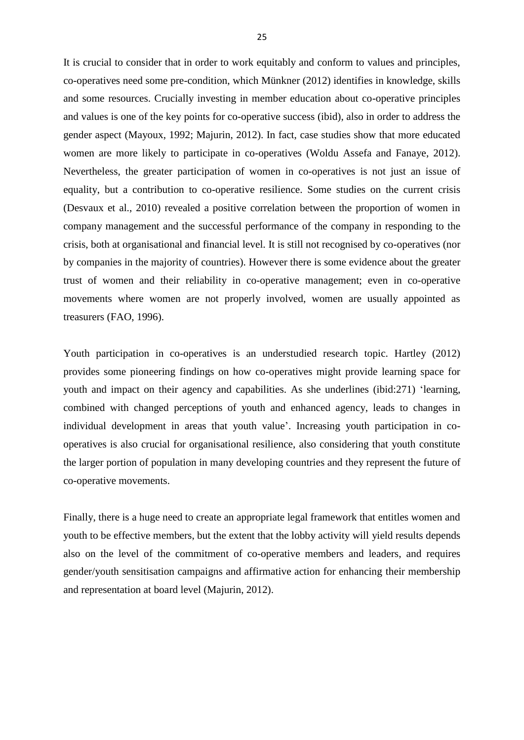It is crucial to consider that in order to work equitably and conform to values and principles, co-operatives need some pre-condition, which Münkner (2012) identifies in knowledge, skills and some resources. Crucially investing in member education about co-operative principles and values is one of the key points for co-operative success (ibid), also in order to address the gender aspect (Mayoux, 1992; Majurin, 2012). In fact, case studies show that more educated women are more likely to participate in co-operatives (Woldu Assefa and Fanaye, 2012). Nevertheless, the greater participation of women in co-operatives is not just an issue of equality, but a contribution to co-operative resilience. Some studies on the current crisis (Desvaux et al., 2010) revealed a positive correlation between the proportion of women in company management and the successful performance of the company in responding to the crisis, both at organisational and financial level. It is still not recognised by co-operatives (nor by companies in the majority of countries). However there is some evidence about the greater trust of women and their reliability in co-operative management; even in co-operative movements where women are not properly involved, women are usually appointed as treasurers (FAO, 1996).

Youth participation in co-operatives is an understudied research topic. Hartley (2012) provides some pioneering findings on how co-operatives might provide learning space for youth and impact on their agency and capabilities. As she underlines (ibid:271) 'learning, combined with changed perceptions of youth and enhanced agency, leads to changes in individual development in areas that youth value'. Increasing youth participation in cooperatives is also crucial for organisational resilience, also considering that youth constitute the larger portion of population in many developing countries and they represent the future of co-operative movements.

Finally, there is a huge need to create an appropriate legal framework that entitles women and youth to be effective members, but the extent that the lobby activity will yield results depends also on the level of the commitment of co-operative members and leaders, and requires gender/youth sensitisation campaigns and affirmative action for enhancing their membership and representation at board level (Majurin, 2012).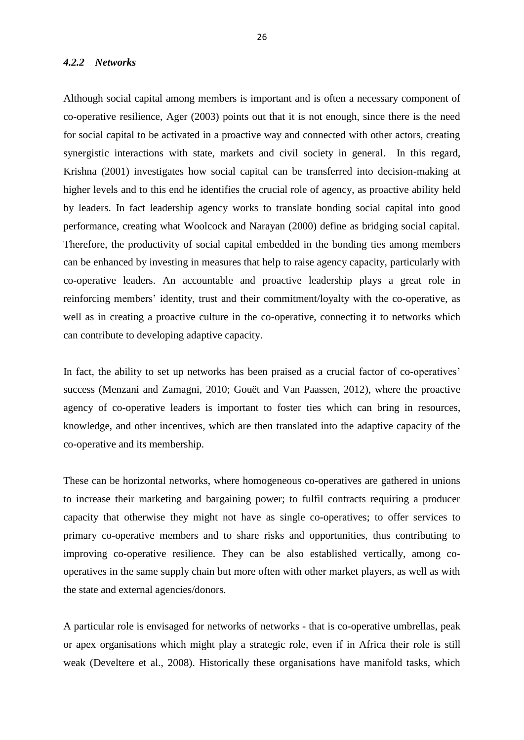## *4.2.2 Networks*

Although social capital among members is important and is often a necessary component of co-operative resilience, Ager (2003) points out that it is not enough, since there is the need for social capital to be activated in a proactive way and connected with other actors, creating synergistic interactions with state, markets and civil society in general. In this regard, Krishna (2001) investigates how social capital can be transferred into decision-making at higher levels and to this end he identifies the crucial role of agency, as proactive ability held by leaders. In fact leadership agency works to translate bonding social capital into good performance, creating what Woolcock and Narayan (2000) define as bridging social capital. Therefore, the productivity of social capital embedded in the bonding ties among members can be enhanced by investing in measures that help to raise agency capacity, particularly with co-operative leaders. An accountable and proactive leadership plays a great role in reinforcing members' identity, trust and their commitment/loyalty with the co-operative, as well as in creating a proactive culture in the co-operative, connecting it to networks which can contribute to developing adaptive capacity.

In fact, the ability to set up networks has been praised as a crucial factor of co-operatives' success (Menzani and Zamagni, 2010; Gouët and Van Paassen, 2012), where the proactive agency of co-operative leaders is important to foster ties which can bring in resources, knowledge, and other incentives, which are then translated into the adaptive capacity of the co-operative and its membership.

These can be horizontal networks, where homogeneous co-operatives are gathered in unions to increase their marketing and bargaining power; to fulfil contracts requiring a producer capacity that otherwise they might not have as single co-operatives; to offer services to primary co-operative members and to share risks and opportunities, thus contributing to improving co-operative resilience. They can be also established vertically, among cooperatives in the same supply chain but more often with other market players, as well as with the state and external agencies/donors.

A particular role is envisaged for networks of networks - that is co-operative umbrellas, peak or apex organisations which might play a strategic role, even if in Africa their role is still weak (Develtere et al., 2008). Historically these organisations have manifold tasks, which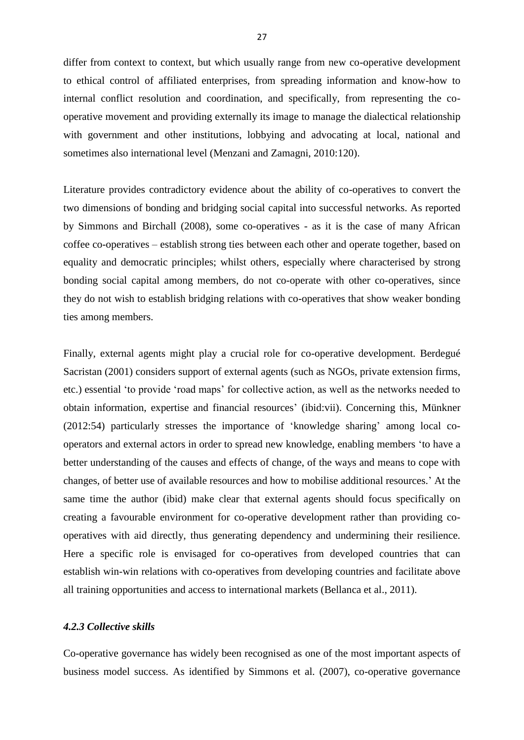differ from context to context, but which usually range from new co-operative development to ethical control of affiliated enterprises, from spreading information and know-how to internal conflict resolution and coordination, and specifically, from representing the cooperative movement and providing externally its image to manage the dialectical relationship with government and other institutions, lobbying and advocating at local, national and sometimes also international level (Menzani and Zamagni, 2010:120).

Literature provides contradictory evidence about the ability of co-operatives to convert the two dimensions of bonding and bridging social capital into successful networks. As reported by Simmons and Birchall (2008), some co-operatives - as it is the case of many African coffee co-operatives – establish strong ties between each other and operate together, based on equality and democratic principles; whilst others, especially where characterised by strong bonding social capital among members, do not co-operate with other co-operatives, since they do not wish to establish bridging relations with co-operatives that show weaker bonding ties among members.

Finally, external agents might play a crucial role for co-operative development. Berdegué Sacristan (2001) considers support of external agents (such as NGOs, private extension firms, etc.) essential 'to provide 'road maps' for collective action, as well as the networks needed to obtain information, expertise and financial resources' (ibid:vii). Concerning this, Münkner (2012:54) particularly stresses the importance of 'knowledge sharing' among local cooperators and external actors in order to spread new knowledge, enabling members 'to have a better understanding of the causes and effects of change, of the ways and means to cope with changes, of better use of available resources and how to mobilise additional resources.' At the same time the author (ibid) make clear that external agents should focus specifically on creating a favourable environment for co-operative development rather than providing cooperatives with aid directly, thus generating dependency and undermining their resilience. Here a specific role is envisaged for co-operatives from developed countries that can establish win-win relations with co-operatives from developing countries and facilitate above all training opportunities and access to international markets (Bellanca et al., 2011).

### *4.2.3 Collective skills*

Co-operative governance has widely been recognised as one of the most important aspects of business model success. As identified by Simmons et al. (2007), co-operative governance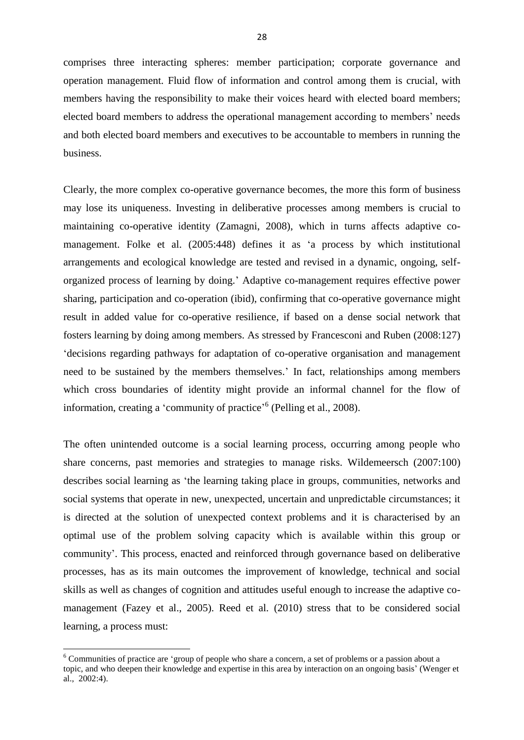comprises three interacting spheres: member participation; corporate governance and operation management. Fluid flow of information and control among them is crucial, with members having the responsibility to make their voices heard with elected board members; elected board members to address the operational management according to members' needs and both elected board members and executives to be accountable to members in running the business.

Clearly, the more complex co-operative governance becomes, the more this form of business may lose its uniqueness. Investing in deliberative processes among members is crucial to maintaining co-operative identity (Zamagni, 2008), which in turns affects adaptive comanagement. Folke et al. (2005:448) defines it as 'a process by which institutional arrangements and ecological knowledge are tested and revised in a dynamic, ongoing, selforganized process of learning by doing.' Adaptive co-management requires effective power sharing, participation and co-operation (ibid), confirming that co-operative governance might result in added value for co-operative resilience, if based on a dense social network that fosters learning by doing among members. As stressed by Francesconi and Ruben (2008:127) 'decisions regarding pathways for adaptation of co-operative organisation and management need to be sustained by the members themselves.' In fact, relationships among members which cross boundaries of identity might provide an informal channel for the flow of information, creating a 'community of practice'<sup>6</sup> (Pelling et al., 2008).

The often unintended outcome is a social learning process, occurring among people who share concerns, past memories and strategies to manage risks. Wildemeersch (2007:100) describes social learning as 'the learning taking place in groups, communities, networks and social systems that operate in new, unexpected, uncertain and unpredictable circumstances; it is directed at the solution of unexpected context problems and it is characterised by an optimal use of the problem solving capacity which is available within this group or community'. This process, enacted and reinforced through governance based on deliberative processes, has as its main outcomes the improvement of knowledge, technical and social skills as well as changes of cognition and attitudes useful enough to increase the adaptive comanagement (Fazey et al., 2005). Reed et al. (2010) stress that to be considered social learning, a process must:

1

<sup>6</sup> Communities of practice are 'group of people who share a concern, a set of problems or a passion about a topic, and who deepen their knowledge and expertise in this area by interaction on an ongoing basis' (Wenger et al., 2002:4).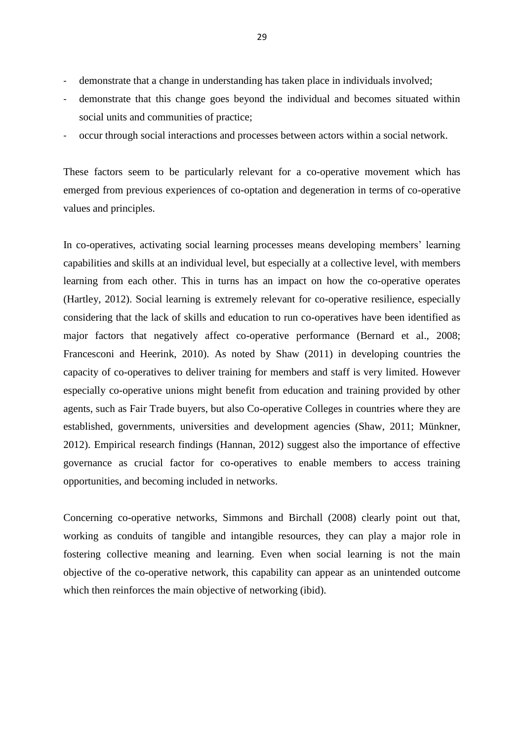- demonstrate that a change in understanding has taken place in individuals involved;
- demonstrate that this change goes beyond the individual and becomes situated within social units and communities of practice;
- occur through social interactions and processes between actors within a social network.

These factors seem to be particularly relevant for a co-operative movement which has emerged from previous experiences of co-optation and degeneration in terms of co-operative values and principles.

In co-operatives, activating social learning processes means developing members' learning capabilities and skills at an individual level, but especially at a collective level, with members learning from each other. This in turns has an impact on how the co-operative operates (Hartley, 2012). Social learning is extremely relevant for co-operative resilience, especially considering that the lack of skills and education to run co-operatives have been identified as major factors that negatively affect co-operative performance (Bernard et al., 2008; Francesconi and Heerink, 2010). As noted by Shaw (2011) in developing countries the capacity of co-operatives to deliver training for members and staff is very limited. However especially co-operative unions might benefit from education and training provided by other agents, such as Fair Trade buyers, but also Co-operative Colleges in countries where they are established, governments, universities and development agencies (Shaw, 2011; Münkner, 2012). Empirical research findings (Hannan, 2012) suggest also the importance of effective governance as crucial factor for co-operatives to enable members to access training opportunities, and becoming included in networks.

Concerning co-operative networks, Simmons and Birchall (2008) clearly point out that, working as conduits of tangible and intangible resources, they can play a major role in fostering collective meaning and learning. Even when social learning is not the main objective of the co-operative network, this capability can appear as an unintended outcome which then reinforces the main objective of networking (ibid).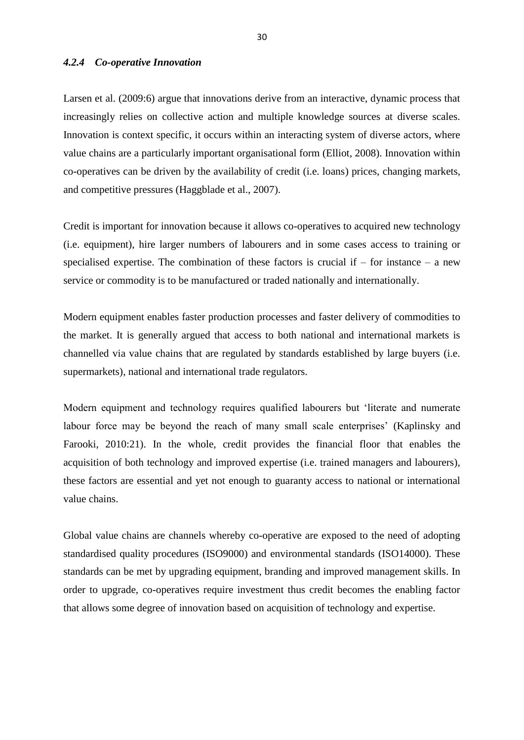## *4.2.4 Co-operative Innovation*

Larsen et al. (2009:6) argue that innovations derive from an interactive, dynamic process that increasingly relies on collective action and multiple knowledge sources at diverse scales. Innovation is context specific, it occurs within an interacting system of diverse actors, where value chains are a particularly important organisational form (Elliot, 2008). Innovation within co-operatives can be driven by the availability of credit (i.e. loans) prices, changing markets, and competitive pressures (Haggblade et al., 2007).

Credit is important for innovation because it allows co-operatives to acquired new technology (i.e. equipment), hire larger numbers of labourers and in some cases access to training or specialised expertise. The combination of these factors is crucial if  $-$  for instance  $-$  a new service or commodity is to be manufactured or traded nationally and internationally.

Modern equipment enables faster production processes and faster delivery of commodities to the market. It is generally argued that access to both national and international markets is channelled via value chains that are regulated by standards established by large buyers (i.e. supermarkets), national and international trade regulators.

Modern equipment and technology requires qualified labourers but 'literate and numerate labour force may be beyond the reach of many small scale enterprises' (Kaplinsky and Farooki, 2010:21). In the whole, credit provides the financial floor that enables the acquisition of both technology and improved expertise (i.e. trained managers and labourers), these factors are essential and yet not enough to guaranty access to national or international value chains.

Global value chains are channels whereby co-operative are exposed to the need of adopting standardised quality procedures (ISO9000) and environmental standards (ISO14000). These standards can be met by upgrading equipment, branding and improved management skills. In order to upgrade, co-operatives require investment thus credit becomes the enabling factor that allows some degree of innovation based on acquisition of technology and expertise.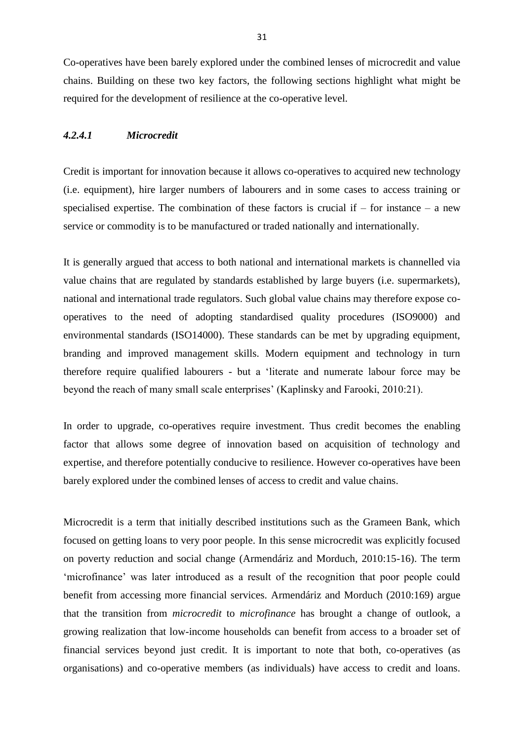Co-operatives have been barely explored under the combined lenses of microcredit and value chains. Building on these two key factors, the following sections highlight what might be required for the development of resilience at the co-operative level.

## *4.2.4.1 Microcredit*

Credit is important for innovation because it allows co-operatives to acquired new technology (i.e. equipment), hire larger numbers of labourers and in some cases to access training or specialised expertise. The combination of these factors is crucial if  $-$  for instance  $-$  a new service or commodity is to be manufactured or traded nationally and internationally.

It is generally argued that access to both national and international markets is channelled via value chains that are regulated by standards established by large buyers (i.e. supermarkets), national and international trade regulators. Such global value chains may therefore expose cooperatives to the need of adopting standardised quality procedures (ISO9000) and environmental standards (ISO14000). These standards can be met by upgrading equipment, branding and improved management skills. Modern equipment and technology in turn therefore require qualified labourers - but a 'literate and numerate labour force may be beyond the reach of many small scale enterprises' (Kaplinsky and Farooki, 2010:21).

In order to upgrade, co-operatives require investment. Thus credit becomes the enabling factor that allows some degree of innovation based on acquisition of technology and expertise, and therefore potentially conducive to resilience. However co-operatives have been barely explored under the combined lenses of access to credit and value chains.

Microcredit is a term that initially described institutions such as the Grameen Bank, which focused on getting loans to very poor people. In this sense microcredit was explicitly focused on poverty reduction and social change (Armendáriz and Morduch, 2010:15-16). The term 'microfinance' was later introduced as a result of the recognition that poor people could benefit from accessing more financial services. Armendáriz and Morduch (2010:169) argue that the transition from *microcredit* to *microfinance* has brought a change of outlook, a growing realization that low-income households can benefit from access to a broader set of financial services beyond just credit. It is important to note that both, co-operatives (as organisations) and co-operative members (as individuals) have access to credit and loans.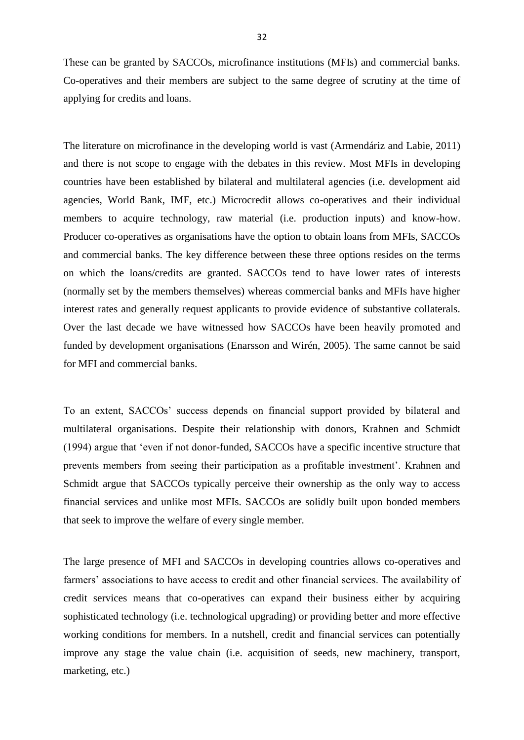These can be granted by SACCOs, microfinance institutions (MFIs) and commercial banks. Co-operatives and their members are subject to the same degree of scrutiny at the time of applying for credits and loans.

The literature on microfinance in the developing world is vast (Armendáriz and Labie, 2011) and there is not scope to engage with the debates in this review. Most MFIs in developing countries have been established by bilateral and multilateral agencies (i.e. development aid agencies, World Bank, IMF, etc.) Microcredit allows co-operatives and their individual members to acquire technology, raw material (i.e. production inputs) and know-how. Producer co-operatives as organisations have the option to obtain loans from MFIs, SACCOs and commercial banks. The key difference between these three options resides on the terms on which the loans/credits are granted. SACCOs tend to have lower rates of interests (normally set by the members themselves) whereas commercial banks and MFIs have higher interest rates and generally request applicants to provide evidence of substantive collaterals. Over the last decade we have witnessed how SACCOs have been heavily promoted and funded by development organisations (Enarsson and Wirén, 2005). The same cannot be said for MFI and commercial banks.

To an extent, SACCOs' success depends on financial support provided by bilateral and multilateral organisations. Despite their relationship with donors, Krahnen and Schmidt (1994) argue that 'even if not donor-funded, SACCOs have a specific incentive structure that prevents members from seeing their participation as a profitable investment'. Krahnen and Schmidt argue that SACCOs typically perceive their ownership as the only way to access financial services and unlike most MFIs. SACCOs are solidly built upon bonded members that seek to improve the welfare of every single member.

The large presence of MFI and SACCOs in developing countries allows co-operatives and farmers' associations to have access to credit and other financial services. The availability of credit services means that co-operatives can expand their business either by acquiring sophisticated technology (i.e. technological upgrading) or providing better and more effective working conditions for members. In a nutshell, credit and financial services can potentially improve any stage the value chain (i.e. acquisition of seeds, new machinery, transport, marketing, etc.)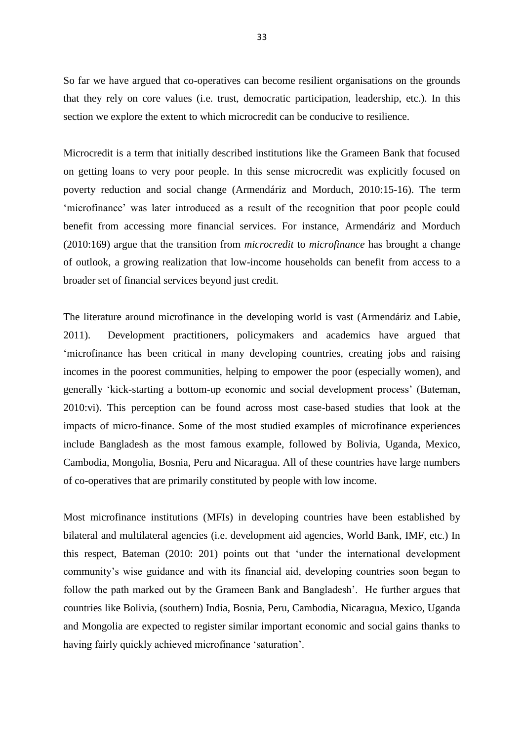So far we have argued that co-operatives can become resilient organisations on the grounds that they rely on core values (i.e. trust, democratic participation, leadership, etc.). In this section we explore the extent to which microcredit can be conducive to resilience.

Microcredit is a term that initially described institutions like the Grameen Bank that focused on getting loans to very poor people. In this sense microcredit was explicitly focused on poverty reduction and social change (Armendáriz and Morduch, 2010:15-16). The term 'microfinance' was later introduced as a result of the recognition that poor people could benefit from accessing more financial services. For instance, Armendáriz and Morduch (2010:169) argue that the transition from *microcredit* to *microfinance* has brought a change of outlook, a growing realization that low-income households can benefit from access to a broader set of financial services beyond just credit.

The literature around microfinance in the developing world is vast (Armendáriz and Labie, 2011). Development practitioners, policymakers and academics have argued that 'microfinance has been critical in many developing countries, creating jobs and raising incomes in the poorest communities, helping to empower the poor (especially women), and generally 'kick-starting a bottom-up economic and social development process' (Bateman, 2010:vi). This perception can be found across most case-based studies that look at the impacts of micro-finance. Some of the most studied examples of microfinance experiences include Bangladesh as the most famous example, followed by Bolivia, Uganda, Mexico, Cambodia, Mongolia, Bosnia, Peru and Nicaragua. All of these countries have large numbers of co-operatives that are primarily constituted by people with low income.

Most microfinance institutions (MFIs) in developing countries have been established by bilateral and multilateral agencies (i.e. development aid agencies, World Bank, IMF, etc.) In this respect, Bateman (2010: 201) points out that 'under the international development community's wise guidance and with its financial aid, developing countries soon began to follow the path marked out by the Grameen Bank and Bangladesh'. He further argues that countries like Bolivia, (southern) India, Bosnia, Peru, Cambodia, Nicaragua, Mexico, Uganda and Mongolia are expected to register similar important economic and social gains thanks to having fairly quickly achieved microfinance 'saturation'.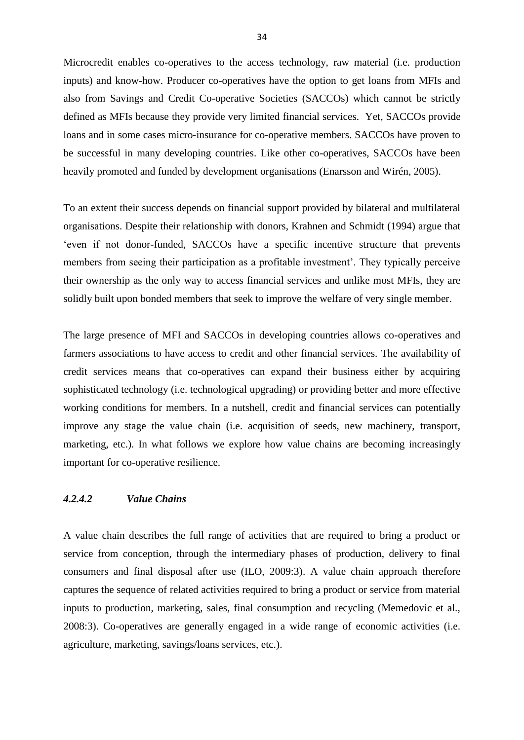Microcredit enables co-operatives to the access technology, raw material (i.e. production inputs) and know-how. Producer co-operatives have the option to get loans from MFIs and also from Savings and Credit Co-operative Societies (SACCOs) which cannot be strictly defined as MFIs because they provide very limited financial services. Yet, SACCOs provide loans and in some cases micro-insurance for co-operative members. SACCOs have proven to be successful in many developing countries. Like other co-operatives, SACCOs have been heavily promoted and funded by development organisations (Enarsson and Wirén, 2005).

To an extent their success depends on financial support provided by bilateral and multilateral organisations. Despite their relationship with donors, Krahnen and Schmidt (1994) argue that 'even if not donor-funded, SACCOs have a specific incentive structure that prevents members from seeing their participation as a profitable investment'. They typically perceive their ownership as the only way to access financial services and unlike most MFIs, they are solidly built upon bonded members that seek to improve the welfare of very single member.

The large presence of MFI and SACCOs in developing countries allows co-operatives and farmers associations to have access to credit and other financial services. The availability of credit services means that co-operatives can expand their business either by acquiring sophisticated technology (i.e. technological upgrading) or providing better and more effective working conditions for members. In a nutshell, credit and financial services can potentially improve any stage the value chain (i.e. acquisition of seeds, new machinery, transport, marketing, etc.). In what follows we explore how value chains are becoming increasingly important for co-operative resilience.

## *4.2.4.2 Value Chains*

A value chain describes the full range of activities that are required to bring a product or service from conception, through the intermediary phases of production, delivery to final consumers and final disposal after use (ILO, 2009:3). A value chain approach therefore captures the sequence of related activities required to bring a product or service from material inputs to production, marketing, sales, final consumption and recycling (Memedovic et al., 2008:3). Co-operatives are generally engaged in a wide range of economic activities (i.e. agriculture, marketing, savings/loans services, etc.).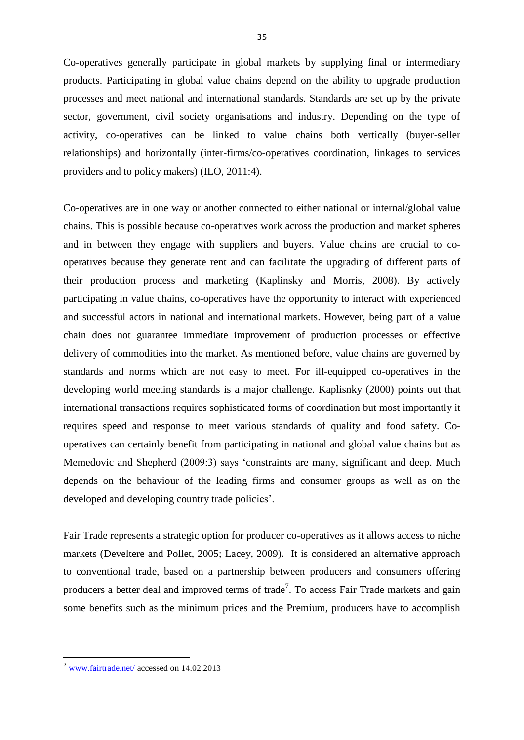Co-operatives generally participate in global markets by supplying final or intermediary products. Participating in global value chains depend on the ability to upgrade production processes and meet national and international standards. Standards are set up by the private sector, government, civil society organisations and industry. Depending on the type of activity, co-operatives can be linked to value chains both vertically (buyer-seller relationships) and horizontally (inter-firms/co-operatives coordination, linkages to services providers and to policy makers) (ILO, 2011:4).

Co-operatives are in one way or another connected to either national or internal/global value chains. This is possible because co-operatives work across the production and market spheres and in between they engage with suppliers and buyers. Value chains are crucial to cooperatives because they generate rent and can facilitate the upgrading of different parts of their production process and marketing (Kaplinsky and Morris, 2008). By actively participating in value chains, co-operatives have the opportunity to interact with experienced and successful actors in national and international markets. However, being part of a value chain does not guarantee immediate improvement of production processes or effective delivery of commodities into the market. As mentioned before, value chains are governed by standards and norms which are not easy to meet. For ill-equipped co-operatives in the developing world meeting standards is a major challenge. Kaplisnky (2000) points out that international transactions requires sophisticated forms of coordination but most importantly it requires speed and response to meet various standards of quality and food safety. Cooperatives can certainly benefit from participating in national and global value chains but as Memedovic and Shepherd (2009:3) says 'constraints are many, significant and deep. Much depends on the behaviour of the leading firms and consumer groups as well as on the developed and developing country trade policies'.

Fair Trade represents a strategic option for producer co-operatives as it allows access to niche markets (Develtere and Pollet, 2005; Lacey, 2009). It is considered an alternative approach to conventional trade, based on a partnership between producers and consumers offering producers a better deal and improved terms of trade<sup>7</sup>. To access Fair Trade markets and gain some benefits such as the minimum prices and the Premium, producers have to accomplish

**.** 

<sup>7</sup> [www.fairtrade.net/](http://www.fairtrade.net/) accessed on 14.02.2013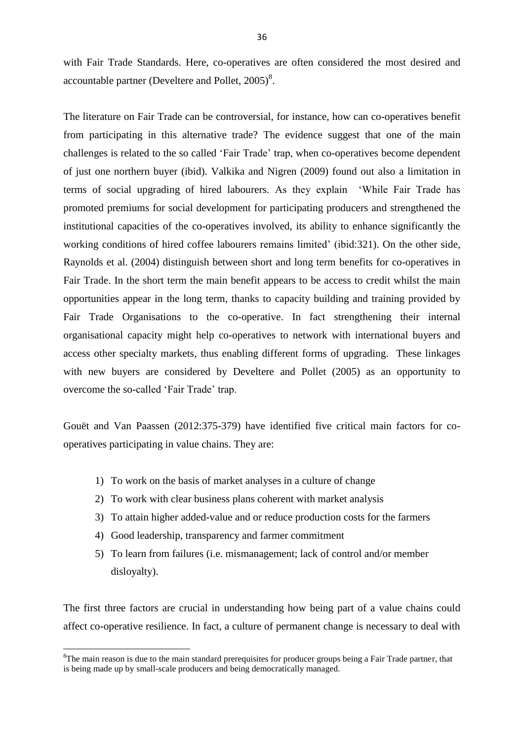with Fair Trade Standards. Here, co-operatives are often considered the most desired and accountable partner (Develtere and Pollet,  $2005$ )<sup>8</sup>.

The literature on Fair Trade can be controversial, for instance, how can co-operatives benefit from participating in this alternative trade? The evidence suggest that one of the main challenges is related to the so called 'Fair Trade' trap, when co-operatives become dependent of just one northern buyer (ibid). Valkika and Nigren (2009) found out also a limitation in terms of social upgrading of hired labourers. As they explain 'While Fair Trade has promoted premiums for social development for participating producers and strengthened the institutional capacities of the co-operatives involved, its ability to enhance significantly the working conditions of hired coffee labourers remains limited' (ibid:321). On the other side, Raynolds et al. (2004) distinguish between short and long term benefits for co-operatives in Fair Trade. In the short term the main benefit appears to be access to credit whilst the main opportunities appear in the long term, thanks to capacity building and training provided by Fair Trade Organisations to the co-operative. In fact strengthening their internal organisational capacity might help co-operatives to network with international buyers and access other specialty markets, thus enabling different forms of upgrading. These linkages with new buyers are considered by Develtere and Pollet (2005) as an opportunity to overcome the so-called 'Fair Trade' trap.

Gouët and Van Paassen (2012:375-379) have identified five critical main factors for cooperatives participating in value chains. They are:

- 1) To work on the basis of market analyses in a culture of change
- 2) To work with clear business plans coherent with market analysis
- 3) To attain higher added-value and or reduce production costs for the farmers
- 4) Good leadership, transparency and farmer commitment

1

5) To learn from failures (i.e. mismanagement; lack of control and/or member disloyalty).

The first three factors are crucial in understanding how being part of a value chains could affect co-operative resilience. In fact, a culture of permanent change is necessary to deal with

 ${}^{8}$ The main reason is due to the main standard prerequisites for producer groups being a Fair Trade partner, that is being made up by small-scale producers and being democratically managed.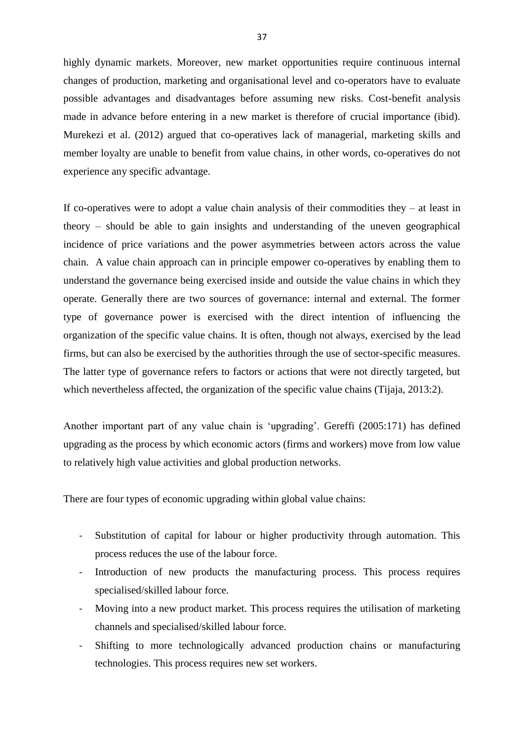highly dynamic markets. Moreover, new market opportunities require continuous internal changes of production, marketing and organisational level and co-operators have to evaluate possible advantages and disadvantages before assuming new risks. Cost-benefit analysis made in advance before entering in a new market is therefore of crucial importance (ibid). Murekezi et al. (2012) argued that co-operatives lack of managerial, marketing skills and member loyalty are unable to benefit from value chains, in other words, co-operatives do not experience any specific advantage.

If co-operatives were to adopt a value chain analysis of their commodities they  $-$  at least in theory – should be able to gain insights and understanding of the uneven geographical incidence of price variations and the power asymmetries between actors across the value chain. A value chain approach can in principle empower co-operatives by enabling them to understand the governance being exercised inside and outside the value chains in which they operate. Generally there are two sources of governance: internal and external. The former type of governance power is exercised with the direct intention of influencing the organization of the specific value chains. It is often, though not always, exercised by the lead firms, but can also be exercised by the authorities through the use of sector-specific measures. The latter type of governance refers to factors or actions that were not directly targeted, but which nevertheless affected, the organization of the specific value chains (Tijaja, 2013:2).

Another important part of any value chain is 'upgrading'. Gereffi (2005:171) has defined upgrading as the process by which economic actors (firms and workers) move from low value to relatively high value activities and global production networks.

There are four types of economic upgrading within global value chains:

- Substitution of capital for labour or higher productivity through automation. This process reduces the use of the labour force.
- Introduction of new products the manufacturing process. This process requires specialised/skilled labour force.
- Moving into a new product market. This process requires the utilisation of marketing channels and specialised/skilled labour force.
- Shifting to more technologically advanced production chains or manufacturing technologies. This process requires new set workers.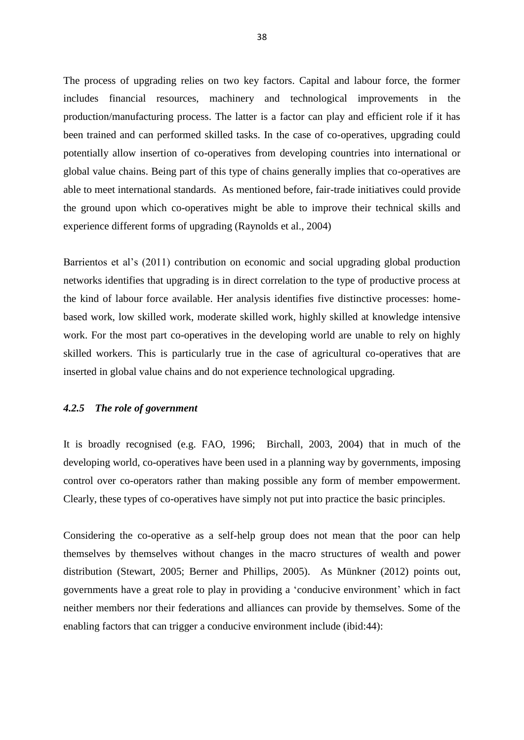The process of upgrading relies on two key factors. Capital and labour force, the former includes financial resources, machinery and technological improvements in the production/manufacturing process. The latter is a factor can play and efficient role if it has been trained and can performed skilled tasks. In the case of co-operatives, upgrading could potentially allow insertion of co-operatives from developing countries into international or global value chains. Being part of this type of chains generally implies that co-operatives are able to meet international standards. As mentioned before, fair-trade initiatives could provide the ground upon which co-operatives might be able to improve their technical skills and experience different forms of upgrading (Raynolds et al., 2004)

Barrientos et al's (2011) contribution on economic and social upgrading global production networks identifies that upgrading is in direct correlation to the type of productive process at the kind of labour force available. Her analysis identifies five distinctive processes: homebased work, low skilled work, moderate skilled work, highly skilled at knowledge intensive work. For the most part co-operatives in the developing world are unable to rely on highly skilled workers. This is particularly true in the case of agricultural co-operatives that are inserted in global value chains and do not experience technological upgrading.

## *4.2.5 The role of government*

It is broadly recognised (e.g. FAO, 1996; Birchall, 2003, 2004) that in much of the developing world, co-operatives have been used in a planning way by governments, imposing control over co-operators rather than making possible any form of member empowerment. Clearly, these types of co-operatives have simply not put into practice the basic principles.

Considering the co-operative as a self-help group does not mean that the poor can help themselves by themselves without changes in the macro structures of wealth and power distribution (Stewart, 2005; Berner and Phillips, 2005). As Münkner (2012) points out, governments have a great role to play in providing a 'conducive environment' which in fact neither members nor their federations and alliances can provide by themselves. Some of the enabling factors that can trigger a conducive environment include (ibid:44):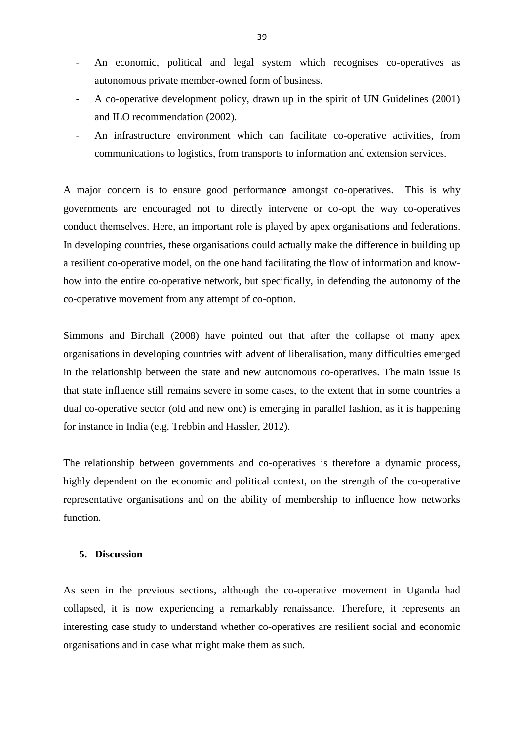- An economic, political and legal system which recognises co-operatives as autonomous private member-owned form of business.
- A co-operative development policy, drawn up in the spirit of UN Guidelines (2001) and ILO recommendation (2002).
- An infrastructure environment which can facilitate co-operative activities, from communications to logistics, from transports to information and extension services.

A major concern is to ensure good performance amongst co-operatives. This is why governments are encouraged not to directly intervene or co-opt the way co-operatives conduct themselves. Here, an important role is played by apex organisations and federations. In developing countries, these organisations could actually make the difference in building up a resilient co-operative model, on the one hand facilitating the flow of information and knowhow into the entire co-operative network, but specifically, in defending the autonomy of the co-operative movement from any attempt of co-option.

Simmons and Birchall (2008) have pointed out that after the collapse of many apex organisations in developing countries with advent of liberalisation, many difficulties emerged in the relationship between the state and new autonomous co-operatives. The main issue is that state influence still remains severe in some cases, to the extent that in some countries a dual co-operative sector (old and new one) is emerging in parallel fashion, as it is happening for instance in India (e.g. Trebbin and Hassler, 2012).

The relationship between governments and co-operatives is therefore a dynamic process, highly dependent on the economic and political context, on the strength of the co-operative representative organisations and on the ability of membership to influence how networks function.

## **5. Discussion**

As seen in the previous sections, although the co-operative movement in Uganda had collapsed, it is now experiencing a remarkably renaissance. Therefore, it represents an interesting case study to understand whether co-operatives are resilient social and economic organisations and in case what might make them as such.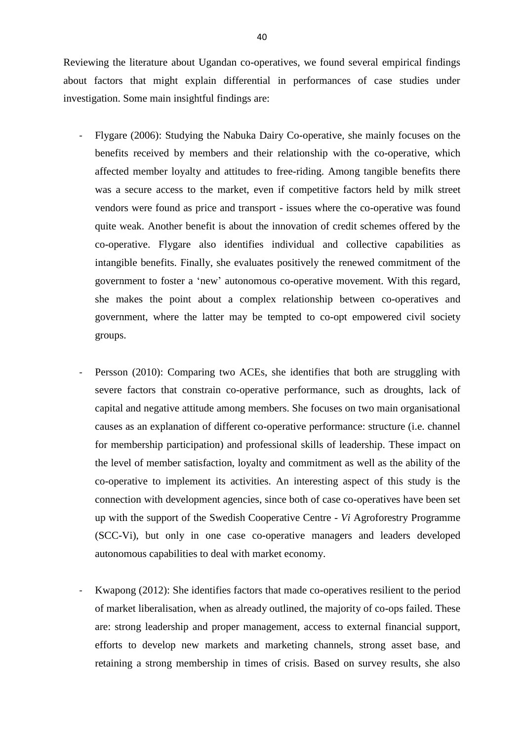Reviewing the literature about Ugandan co-operatives, we found several empirical findings about factors that might explain differential in performances of case studies under investigation. Some main insightful findings are:

- Flygare (2006): Studying the Nabuka Dairy Co-operative, she mainly focuses on the benefits received by members and their relationship with the co-operative, which affected member loyalty and attitudes to free-riding. Among tangible benefits there was a secure access to the market, even if competitive factors held by milk street vendors were found as price and transport - issues where the co-operative was found quite weak. Another benefit is about the innovation of credit schemes offered by the co-operative. Flygare also identifies individual and collective capabilities as intangible benefits. Finally, she evaluates positively the renewed commitment of the government to foster a 'new' autonomous co-operative movement. With this regard, she makes the point about a complex relationship between co-operatives and government, where the latter may be tempted to co-opt empowered civil society groups.
- Persson (2010): Comparing two ACEs, she identifies that both are struggling with severe factors that constrain co-operative performance, such as droughts, lack of capital and negative attitude among members. She focuses on two main organisational causes as an explanation of different co-operative performance: structure (i.e. channel for membership participation) and professional skills of leadership. These impact on the level of member satisfaction, loyalty and commitment as well as the ability of the co-operative to implement its activities. An interesting aspect of this study is the connection with development agencies, since both of case co-operatives have been set up with the support of the Swedish Cooperative Centre - *Vi* Agroforestry Programme (SCC-Vi), but only in one case co-operative managers and leaders developed autonomous capabilities to deal with market economy.
- Kwapong (2012): She identifies factors that made co-operatives resilient to the period of market liberalisation, when as already outlined, the majority of co-ops failed. These are: strong leadership and proper management, access to external financial support, efforts to develop new markets and marketing channels, strong asset base, and retaining a strong membership in times of crisis. Based on survey results, she also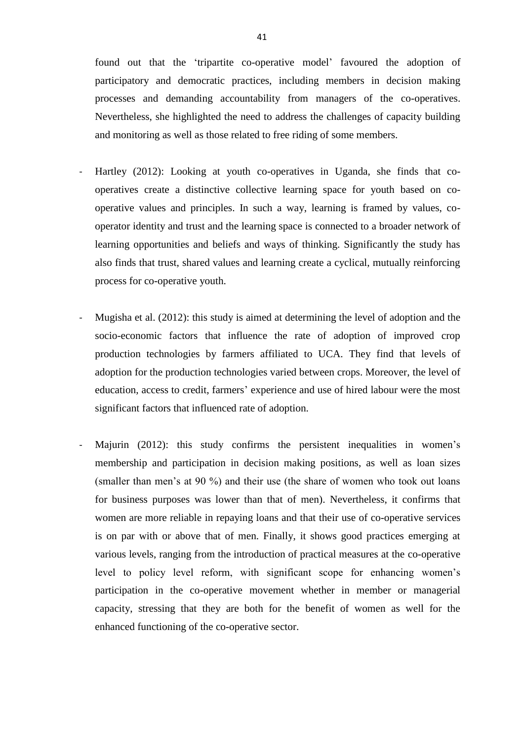found out that the 'tripartite co-operative model' favoured the adoption of participatory and democratic practices, including members in decision making processes and demanding accountability from managers of the co-operatives. Nevertheless, she highlighted the need to address the challenges of capacity building and monitoring as well as those related to free riding of some members.

- Hartley (2012): Looking at youth co-operatives in Uganda, she finds that cooperatives create a distinctive collective learning space for youth based on cooperative values and principles. In such a way, learning is framed by values, cooperator identity and trust and the learning space is connected to a broader network of learning opportunities and beliefs and ways of thinking. Significantly the study has also finds that trust, shared values and learning create a cyclical, mutually reinforcing process for co-operative youth.
- Mugisha et al. (2012): this study is aimed at determining the level of adoption and the socio-economic factors that influence the rate of adoption of improved crop production technologies by farmers affiliated to UCA. They find that levels of adoption for the production technologies varied between crops. Moreover, the level of education, access to credit, farmers' experience and use of hired labour were the most significant factors that influenced rate of adoption.
- Majurin (2012): this study confirms the persistent inequalities in women's membership and participation in decision making positions, as well as loan sizes (smaller than men's at 90 %) and their use (the share of women who took out loans for business purposes was lower than that of men). Nevertheless, it confirms that women are more reliable in repaying loans and that their use of co-operative services is on par with or above that of men. Finally, it shows good practices emerging at various levels, ranging from the introduction of practical measures at the co-operative level to policy level reform, with significant scope for enhancing women's participation in the co-operative movement whether in member or managerial capacity, stressing that they are both for the benefit of women as well for the enhanced functioning of the co-operative sector.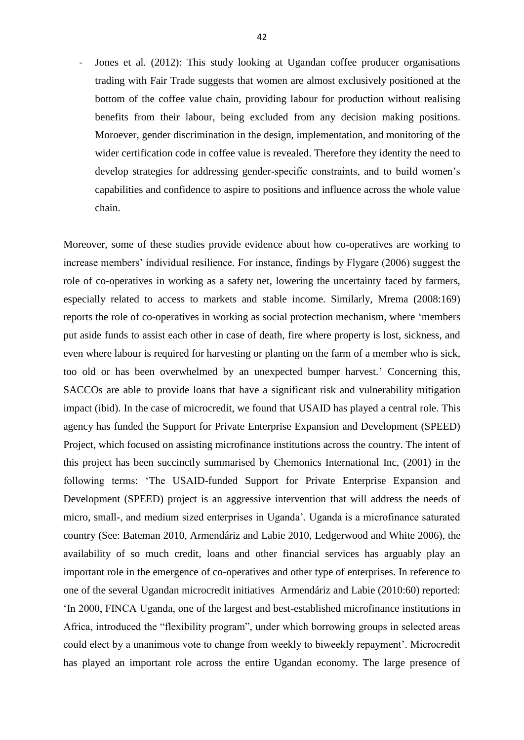Jones et al. (2012): This study looking at Ugandan coffee producer organisations trading with Fair Trade suggests that women are almost exclusively positioned at the bottom of the coffee value chain, providing labour for production without realising benefits from their labour, being excluded from any decision making positions. Moroever, gender discrimination in the design, implementation, and monitoring of the wider certification code in coffee value is revealed. Therefore they identity the need to develop strategies for addressing gender-specific constraints, and to build women's capabilities and confidence to aspire to positions and influence across the whole value chain.

Moreover, some of these studies provide evidence about how co-operatives are working to increase members' individual resilience. For instance, findings by Flygare (2006) suggest the role of co-operatives in working as a safety net, lowering the uncertainty faced by farmers, especially related to access to markets and stable income. Similarly, Mrema (2008:169) reports the role of co-operatives in working as social protection mechanism, where 'members put aside funds to assist each other in case of death, fire where property is lost, sickness, and even where labour is required for harvesting or planting on the farm of a member who is sick, too old or has been overwhelmed by an unexpected bumper harvest.' Concerning this, SACCOs are able to provide loans that have a significant risk and vulnerability mitigation impact (ibid). In the case of microcredit, we found that USAID has played a central role. This agency has funded the Support for Private Enterprise Expansion and Development (SPEED) Project, which focused on assisting microfinance institutions across the country. The intent of this project has been succinctly summarised by Chemonics International Inc, (2001) in the following terms: 'The USAID-funded Support for Private Enterprise Expansion and Development (SPEED) project is an aggressive intervention that will address the needs of micro, small-, and medium sized enterprises in Uganda'. Uganda is a microfinance saturated country (See: Bateman 2010, Armendáriz and Labie 2010, Ledgerwood and White 2006), the availability of so much credit, loans and other financial services has arguably play an important role in the emergence of co-operatives and other type of enterprises. In reference to one of the several Ugandan microcredit initiatives Armendáriz and Labie (2010:60) reported: 'In 2000, FINCA Uganda, one of the largest and best-established microfinance institutions in Africa, introduced the "flexibility program", under which borrowing groups in selected areas could elect by a unanimous vote to change from weekly to biweekly repayment'. Microcredit has played an important role across the entire Ugandan economy. The large presence of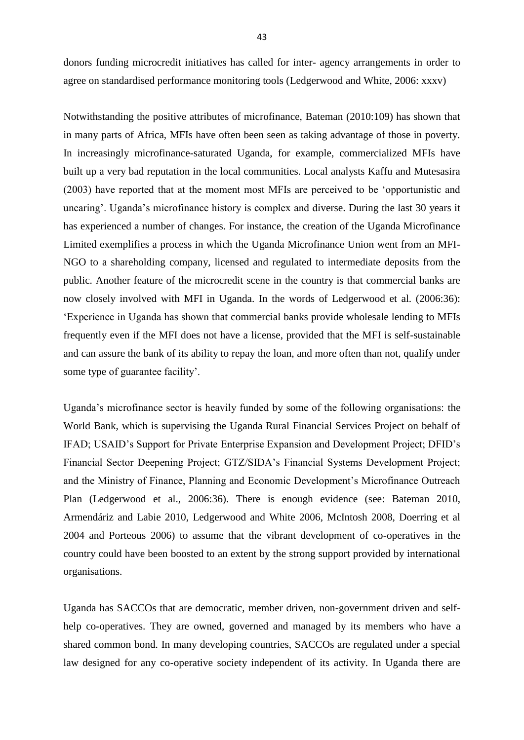donors funding microcredit initiatives has called for inter- agency arrangements in order to agree on standardised performance monitoring tools (Ledgerwood and White, 2006: xxxv)

Notwithstanding the positive attributes of microfinance, Bateman (2010:109) has shown that in many parts of Africa, MFIs have often been seen as taking advantage of those in poverty. In increasingly microfinance-saturated Uganda, for example, commercialized MFIs have built up a very bad reputation in the local communities. Local analysts Kaffu and Mutesasira (2003) have reported that at the moment most MFIs are perceived to be 'opportunistic and uncaring'. Uganda's microfinance history is complex and diverse. During the last 30 years it has experienced a number of changes. For instance, the creation of the Uganda Microfinance Limited exemplifies a process in which the Uganda Microfinance Union went from an MFI-NGO to a shareholding company, licensed and regulated to intermediate deposits from the public. Another feature of the microcredit scene in the country is that commercial banks are now closely involved with MFI in Uganda. In the words of Ledgerwood et al. (2006:36): 'Experience in Uganda has shown that commercial banks provide wholesale lending to MFIs frequently even if the MFI does not have a license, provided that the MFI is self-sustainable and can assure the bank of its ability to repay the loan, and more often than not, qualify under some type of guarantee facility'.

Uganda's microfinance sector is heavily funded by some of the following organisations: the World Bank, which is supervising the Uganda Rural Financial Services Project on behalf of IFAD; USAID's Support for Private Enterprise Expansion and Development Project; DFID's Financial Sector Deepening Project; GTZ/SIDA's Financial Systems Development Project; and the Ministry of Finance, Planning and Economic Development's Microfinance Outreach Plan (Ledgerwood et al., 2006:36). There is enough evidence (see: Bateman 2010, Armendáriz and Labie 2010, Ledgerwood and White 2006, McIntosh 2008, Doerring et al 2004 and Porteous 2006) to assume that the vibrant development of co-operatives in the country could have been boosted to an extent by the strong support provided by international organisations.

Uganda has SACCOs that are democratic, member driven, non-government driven and selfhelp co-operatives. They are owned, governed and managed by its members who have a shared common bond. In many developing countries, SACCOs are regulated under a special law designed for any co-operative society independent of its activity. In Uganda there are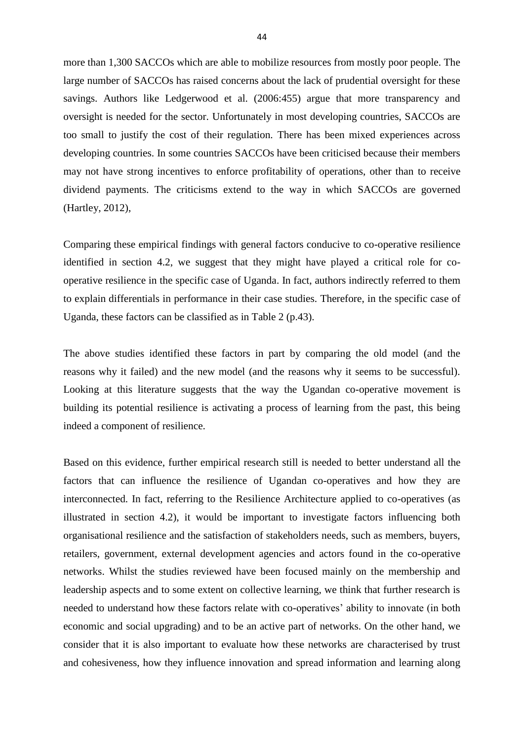more than 1,300 SACCOs which are able to mobilize resources from mostly poor people. The large number of SACCOs has raised concerns about the lack of prudential oversight for these savings. Authors like Ledgerwood et al. (2006:455) argue that more transparency and oversight is needed for the sector. Unfortunately in most developing countries, SACCOs are too small to justify the cost of their regulation. There has been mixed experiences across developing countries. In some countries SACCOs have been criticised because their members may not have strong incentives to enforce profitability of operations, other than to receive dividend payments. The criticisms extend to the way in which SACCOs are governed (Hartley, 2012),

Comparing these empirical findings with general factors conducive to co-operative resilience identified in section 4.2, we suggest that they might have played a critical role for cooperative resilience in the specific case of Uganda. In fact, authors indirectly referred to them to explain differentials in performance in their case studies. Therefore, in the specific case of Uganda, these factors can be classified as in Table 2 (p.43).

The above studies identified these factors in part by comparing the old model (and the reasons why it failed) and the new model (and the reasons why it seems to be successful). Looking at this literature suggests that the way the Ugandan co-operative movement is building its potential resilience is activating a process of learning from the past, this being indeed a component of resilience.

Based on this evidence, further empirical research still is needed to better understand all the factors that can influence the resilience of Ugandan co-operatives and how they are interconnected. In fact, referring to the Resilience Architecture applied to co-operatives (as illustrated in section 4.2), it would be important to investigate factors influencing both organisational resilience and the satisfaction of stakeholders needs, such as members, buyers, retailers, government, external development agencies and actors found in the co-operative networks. Whilst the studies reviewed have been focused mainly on the membership and leadership aspects and to some extent on collective learning, we think that further research is needed to understand how these factors relate with co-operatives' ability to innovate (in both economic and social upgrading) and to be an active part of networks. On the other hand, we consider that it is also important to evaluate how these networks are characterised by trust and cohesiveness, how they influence innovation and spread information and learning along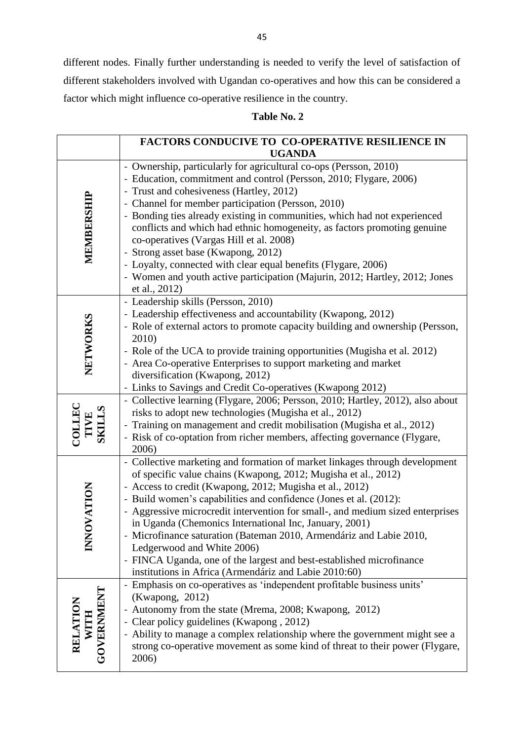different nodes. Finally further understanding is needed to verify the level of satisfaction of different stakeholders involved with Ugandan co-operatives and how this can be considered a factor which might influence co-operative resilience in the country.

## **Table No. 2**

|                                | FACTORS CONDUCIVE TO CO-OPERATIVE RESILIENCE IN                                                                                                                                                                                                                                                                                                                                                                                                                                                                                                                                                                                                                  |
|--------------------------------|------------------------------------------------------------------------------------------------------------------------------------------------------------------------------------------------------------------------------------------------------------------------------------------------------------------------------------------------------------------------------------------------------------------------------------------------------------------------------------------------------------------------------------------------------------------------------------------------------------------------------------------------------------------|
|                                | <b>UGANDA</b>                                                                                                                                                                                                                                                                                                                                                                                                                                                                                                                                                                                                                                                    |
| MEMBERSHIP                     | - Ownership, particularly for agricultural co-ops (Persson, 2010)<br>- Education, commitment and control (Persson, 2010; Flygare, 2006)<br>- Trust and cohesiveness (Hartley, 2012)<br>- Channel for member participation (Persson, 2010)<br>- Bonding ties already existing in communities, which had not experienced<br>conflicts and which had ethnic homogeneity, as factors promoting genuine<br>co-operatives (Vargas Hill et al. 2008)<br>- Strong asset base (Kwapong, 2012)<br>- Loyalty, connected with clear equal benefits (Flygare, 2006)<br>- Women and youth active participation (Majurin, 2012; Hartley, 2012; Jones<br>et al., 2012)           |
| NETWORKS                       | - Leadership skills (Persson, 2010)<br>- Leadership effectiveness and accountability (Kwapong, 2012)<br>- Role of external actors to promote capacity building and ownership (Persson,<br>2010)<br>- Role of the UCA to provide training opportunities (Mugisha et al. 2012)<br>- Area Co-operative Enterprises to support marketing and market<br>diversification (Kwapong, 2012)<br>- Links to Savings and Credit Co-operatives (Kwapong 2012)                                                                                                                                                                                                                 |
| COLLEC<br>TIVE<br>SKILLS       | - Collective learning (Flygare, 2006; Persson, 2010; Hartley, 2012), also about<br>risks to adopt new technologies (Mugisha et al., 2012)<br>- Training on management and credit mobilisation (Mugisha et al., 2012)<br>- Risk of co-optation from richer members, affecting governance (Flygare,<br>2006)                                                                                                                                                                                                                                                                                                                                                       |
| <b>INNOVATION</b>              | - Collective marketing and formation of market linkages through development<br>of specific value chains (Kwapong, 2012; Mugisha et al., 2012)<br>- Access to credit (Kwapong, 2012; Mugisha et al., 2012)<br>- Build women's capabilities and confidence (Jones et al. (2012):<br>- Aggressive microcredit intervention for small-, and medium sized enterprises<br>in Uganda (Chemonics International Inc, January, 2001)<br>- Microfinance saturation (Bateman 2010, Armendáriz and Labie 2010,<br>Ledgerwood and White 2006)<br>- FINCA Uganda, one of the largest and best-established microfinance<br>institutions in Africa (Armendáriz and Labie 2010:60) |
| WITH<br>GOVERNMENT<br>RELATION | - Emphasis on co-operatives as 'independent profitable business units'<br>(Kwapong, 2012)<br>- Autonomy from the state (Mrema, 2008; Kwapong, 2012)<br>- Clear policy guidelines (Kwapong, 2012)<br>- Ability to manage a complex relationship where the government might see a<br>strong co-operative movement as some kind of threat to their power (Flygare,<br>2006)                                                                                                                                                                                                                                                                                         |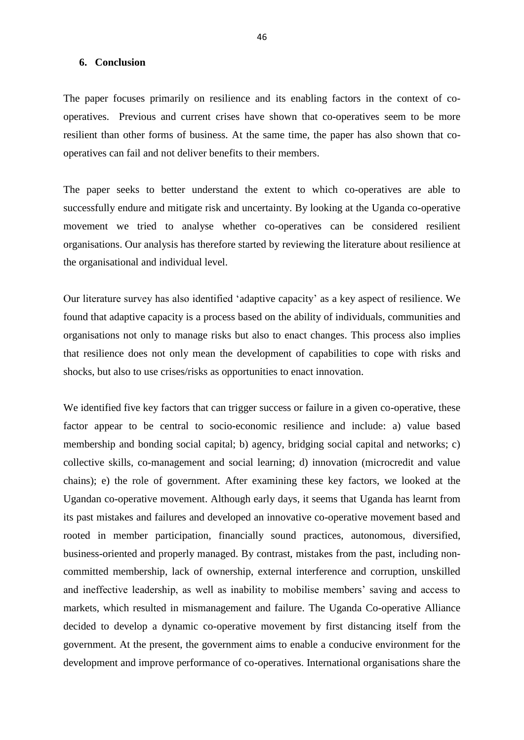### **6. Conclusion**

The paper focuses primarily on resilience and its enabling factors in the context of cooperatives. Previous and current crises have shown that co-operatives seem to be more resilient than other forms of business. At the same time, the paper has also shown that cooperatives can fail and not deliver benefits to their members.

The paper seeks to better understand the extent to which co-operatives are able to successfully endure and mitigate risk and uncertainty. By looking at the Uganda co-operative movement we tried to analyse whether co-operatives can be considered resilient organisations. Our analysis has therefore started by reviewing the literature about resilience at the organisational and individual level.

Our literature survey has also identified 'adaptive capacity' as a key aspect of resilience. We found that adaptive capacity is a process based on the ability of individuals, communities and organisations not only to manage risks but also to enact changes. This process also implies that resilience does not only mean the development of capabilities to cope with risks and shocks, but also to use crises/risks as opportunities to enact innovation.

We identified five key factors that can trigger success or failure in a given co-operative, these factor appear to be central to socio-economic resilience and include: a) value based membership and bonding social capital; b) agency, bridging social capital and networks; c) collective skills, co-management and social learning; d) innovation (microcredit and value chains); e) the role of government. After examining these key factors, we looked at the Ugandan co-operative movement. Although early days, it seems that Uganda has learnt from its past mistakes and failures and developed an innovative co-operative movement based and rooted in member participation, financially sound practices, autonomous, diversified, business-oriented and properly managed. By contrast, mistakes from the past, including noncommitted membership, lack of ownership, external interference and corruption, unskilled and ineffective leadership, as well as inability to mobilise members' saving and access to markets, which resulted in mismanagement and failure. The Uganda Co-operative Alliance decided to develop a dynamic co-operative movement by first distancing itself from the government. At the present, the government aims to enable a conducive environment for the development and improve performance of co-operatives. International organisations share the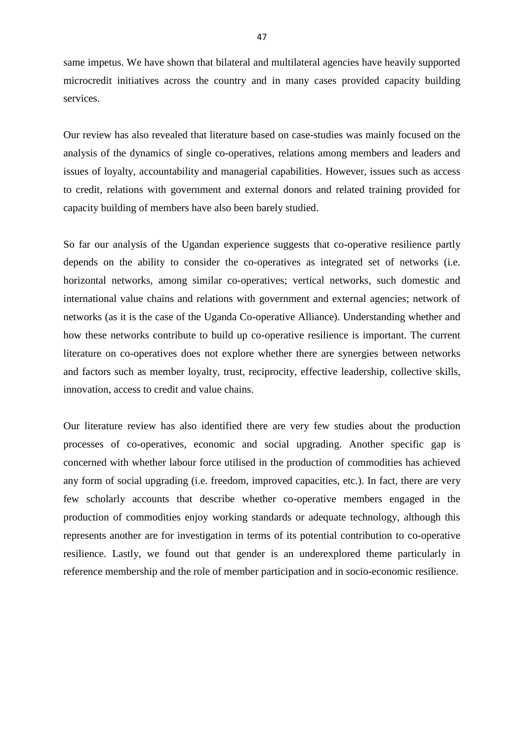same impetus. We have shown that bilateral and multilateral agencies have heavily supported microcredit initiatives across the country and in many cases provided capacity building services.

Our review has also revealed that literature based on case-studies was mainly focused on the analysis of the dynamics of single co-operatives, relations among members and leaders and issues of loyalty, accountability and managerial capabilities. However, issues such as access to credit, relations with government and external donors and related training provided for capacity building of members have also been barely studied.

So far our analysis of the Ugandan experience suggests that co-operative resilience partly depends on the ability to consider the co-operatives as integrated set of networks (i.e. horizontal networks, among similar co-operatives; vertical networks, such domestic and international value chains and relations with government and external agencies; network of networks (as it is the case of the Uganda Co-operative Alliance). Understanding whether and how these networks contribute to build up co-operative resilience is important. The current literature on co-operatives does not explore whether there are synergies between networks and factors such as member loyalty, trust, reciprocity, effective leadership, collective skills, innovation, access to credit and value chains.

Our literature review has also identified there are very few studies about the production processes of co-operatives, economic and social upgrading. Another specific gap is concerned with whether labour force utilised in the production of commodities has achieved any form of social upgrading (i.e. freedom, improved capacities, etc.). In fact, there are very few scholarly accounts that describe whether co-operative members engaged in the production of commodities enjoy working standards or adequate technology, although this represents another are for investigation in terms of its potential contribution to co-operative resilience. Lastly, we found out that gender is an underexplored theme particularly in reference membership and the role of member participation and in socio-economic resilience.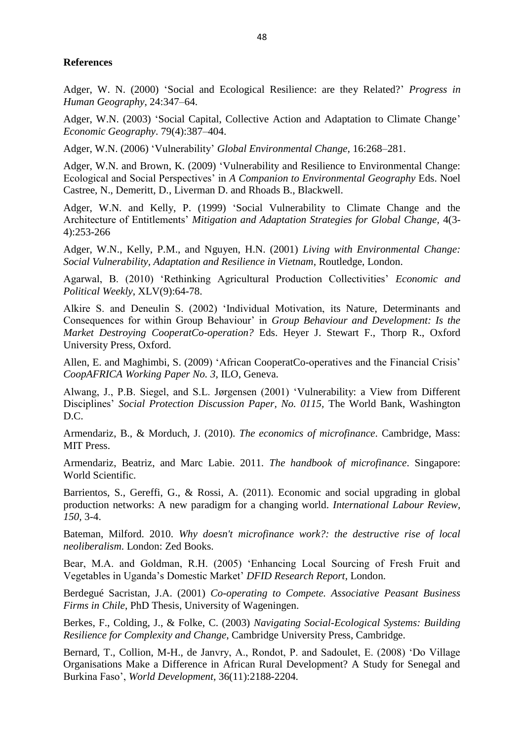## **References**

Adger, W. N. (2000) 'Social and Ecological Resilience: are they Related?' *Progress in Human Geography*, 24:347–64.

Adger, W.N. (2003) 'Social Capital, Collective Action and Adaptation to Climate Change' *Economic Geography*. 79(4):387–404.

Adger, W.N. (2006) 'Vulnerability' *Global Environmental Change,* 16:268–281.

Adger, W.N. and Brown, K. (2009) 'Vulnerability and Resilience to Environmental Change: Ecological and Social Perspectives' in *A Companion to Environmental Geography* Eds. Noel Castree, N., Demeritt, D., Liverman D. and Rhoads B., Blackwell.

Adger, W.N. and Kelly, P. (1999) 'Social Vulnerability to Climate Change and the Architecture of Entitlements' *Mitigation and Adaptation Strategies for Global Change,* 4(3- 4):253-266

Adger, W.N., Kelly, P.M., and Nguyen, H.N. (2001) *Living with Environmental Change: Social Vulnerability, Adaptation and Resilience in Vietnam*, Routledge, London.

Agarwal, B. (2010) 'Rethinking Agricultural Production Collectivities' *Economic and Political Weekly*, XLV(9):64-78.

Alkire S. and Deneulin S. (2002) 'Individual Motivation, its Nature, Determinants and Consequences for within Group Behaviour' in *Group Behaviour and Development: Is the Market Destroying CooperatCo-operation?* Eds. Heyer J. Stewart F., Thorp R., Oxford University Press, Oxford.

Allen, E. and Maghimbi, S. (2009) 'African CooperatCo-operatives and the Financial Crisis' *CoopAFRICA Working Paper No. 3*, ILO, Geneva.

Alwang, J., P.B. Siegel, and S.L. Jørgensen (2001) 'Vulnerability: a View from Different Disciplines' *Social Protection Discussion Paper, No. 0115,* The World Bank, Washington D.C.

Armendariz, B., & Morduch, J. (2010). *The economics of microfinance*. Cambridge, Mass: MIT Press.

Armendariz, Beatriz, and Marc Labie. 2011. *The handbook of microfinance*. Singapore: World Scientific.

Barrientos, S., Gereffi, G., & Rossi, A. (2011). Economic and social upgrading in global production networks: A new paradigm for a changing world. *International Labour Review, 150,* 3-4.

Bateman, Milford. 2010. *Why doesn't microfinance work?: the destructive rise of local neoliberalism*. London: Zed Books.

Bear, M.A. and Goldman, R.H. (2005) 'Enhancing Local Sourcing of Fresh Fruit and Vegetables in Uganda's Domestic Market' *DFID Research Report*, London.

Berdegué Sacristan, J.A. (2001) *Co-operating to Compete. Associative Peasant Business Firms in Chile*, PhD Thesis, University of Wageningen.

Berkes, F., Colding, J., & Folke, C. (2003) *Navigating Social-Ecological Systems: Building Resilience for Complexity and Change*, Cambridge University Press, Cambridge.

Bernard, T., Collion, M-H., de Janvry, A., Rondot, P. and Sadoulet, E. (2008) 'Do Village Organisations Make a Difference in African Rural Development? A Study for Senegal and Burkina Faso', *World Development*, 36(11):2188-2204.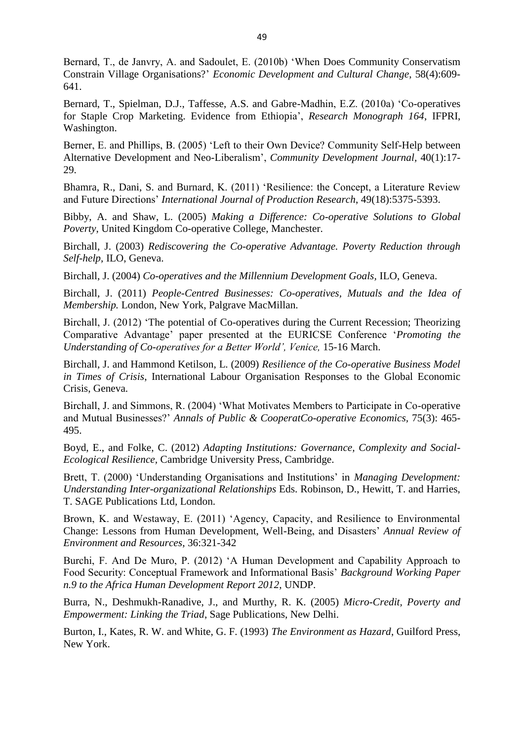Bernard, T., de Janvry, A. and Sadoulet, E. (2010b) 'When Does Community Conservatism Constrain Village Organisations?' *Economic Development and Cultural Change*, 58(4):609- 641.

Bernard, T., Spielman, D.J., Taffesse, A.S. and Gabre-Madhin, E.Z. (2010a) 'Co-operatives for Staple Crop Marketing. Evidence from Ethiopia', *Research Monograph 164*, IFPRI, Washington.

Berner, E. and Phillips, B. (2005) 'Left to their Own Device? Community Self-Help between Alternative Development and Neo-Liberalism', *Community Development Journal,* 40(1):17- 29.

Bhamra, R., Dani, S. and Burnard, K. (2011) 'Resilience: the Concept, a Literature Review and Future Directions' *International Journal of Production Research*, 49(18):5375-5393.

Bibby, A. and Shaw, L. (2005) *Making a Difference: Co-operative Solutions to Global Poverty*, United Kingdom Co-operative College, Manchester.

Birchall, J. (2003) *Rediscovering the Co-operative Advantage. Poverty Reduction through Self-help,* ILO, Geneva.

Birchall, J. (2004) *Co-operatives and the Millennium Development Goals,* ILO, Geneva.

Birchall, J. (2011) *People-Centred Businesses: Co-operatives, Mutuals and the Idea of Membership.* London, New York, Palgrave MacMillan.

Birchall, J. (2012) 'The potential of Co-operatives during the Current Recession; Theorizing Comparative Advantage' paper presented at the EURICSE Conference '*Promoting the Understanding of Co-operatives for a Better World', Venice, 15-16 March.* 

Birchall, J. and Hammond Ketilson, L. (2009) *Resilience of the Co-operative Business Model in Times of Crisis*, International Labour Organisation Responses to the Global Economic Crisis, Geneva.

Birchall, J. and Simmons, R. (2004) 'What Motivates Members to Participate in Co-operative and Mutual Businesses?' *Annals of Public & CooperatCo-operative Economics,* 75(3): 465- 495.

Boyd, E., and Folke, C. (2012) *Adapting Institutions: Governance, Complexity and Social-Ecological Resilience,* Cambridge University Press, Cambridge.

Brett, T. (2000) 'Understanding Organisations and Institutions' in *Managing Development: Understanding Inter-organizational Relationships* Eds. Robinson, D., Hewitt, T. and Harries, T. SAGE Publications Ltd, London.

Brown, K. and Westaway, E. (2011) 'Agency, Capacity, and Resilience to Environmental Change: Lessons from Human Development, Well-Being, and Disasters' *Annual Review of Environment and Resources*, 36:321-342

Burchi, F. And De Muro, P. (2012) 'A Human Development and Capability Approach to Food Security: Conceptual Framework and Informational Basis' *Background Working Paper n.9 to the Africa Human Development Report 2012*, UNDP.

Burra, N., Deshmukh-Ranadive, J., and Murthy, R. K. (2005) *Micro-Credit, Poverty and Empowerment: Linking the Triad*, Sage Publications, New Delhi.

Burton, I., Kates, R. W. and White, G. F. (1993) *The Environment as Hazard*, Guilford Press, New York.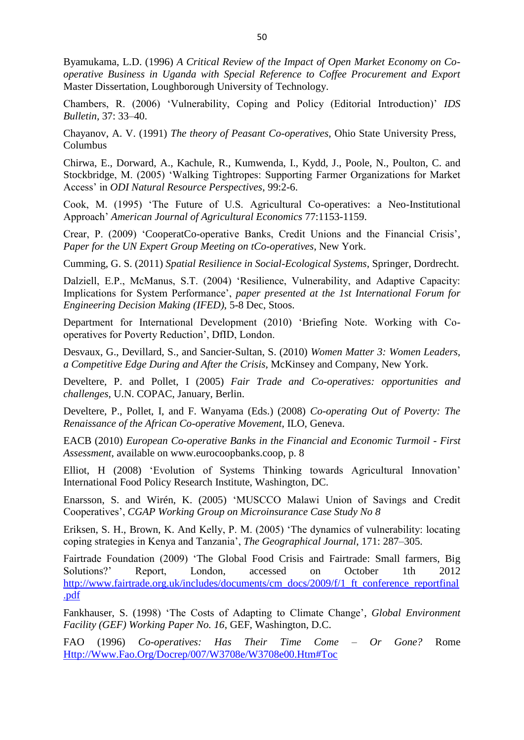Byamukama, L.D. (1996) *A Critical Review of the Impact of Open Market Economy on Cooperative Business in Uganda with Special Reference to Coffee Procurement and Export*  Master Dissertation, Loughborough University of Technology.

Chambers, R. (2006) 'Vulnerability, Coping and Policy (Editorial Introduction)' *IDS Bulletin,* 37: 33–40.

Chayanov, A. V. (1991) *The theory of Peasant Co-operatives*, Ohio State University Press, Columbus

Chirwa, E., Dorward, A., Kachule, R., Kumwenda, I., Kydd, J., Poole, N., Poulton, C. and Stockbridge, M. (2005) 'Walking Tightropes: Supporting Farmer Organizations for Market Access' in *ODI Natural Resource Perspectives*, 99:2-6.

Cook, M. (1995) 'The Future of U.S. Agricultural Co-operatives: a Neo-Institutional Approach' *American Journal of Agricultural Economics* 77:1153-1159.

Crear, P. (2009) 'CooperatCo-operative Banks, Credit Unions and the Financial Crisis', *Paper for the UN Expert Group Meeting on tCo-operatives*, New York.

Cumming, G. S. (2011) *Spatial Resilience in Social-Ecological Systems,* Springer, Dordrecht.

Dalziell, E.P., McManus, S.T. (2004) 'Resilience, Vulnerability, and Adaptive Capacity: Implications for System Performance', *paper presented at the 1st International Forum for Engineering Decision Making (IFED)*, 5-8 Dec, Stoos.

Department for International Development (2010) 'Briefing Note. Working with Cooperatives for Poverty Reduction', DfID, London.

Desvaux, G., Devillard, S., and Sancier-Sultan, S. (2010) *Women Matter 3: Women Leaders, a Competitive Edge During and After the Crisis,* McKinsey and Company, New York.

Develtere, P. and Pollet, I (2005) *Fair Trade and Co-operatives: opportunities and challenges*, U.N. COPAC, January, Berlin.

Develtere, P., Pollet, I, and F. Wanyama (Eds.) (2008) *Co-operating Out of Poverty: The Renaissance of the African Co-operative Movement*, ILO, Geneva.

EACB (2010) *European Co-operative Banks in the Financial and Economic Turmoil - First Assessment*, available on www.eurocoopbanks.coop, p. 8

Elliot, H (2008) 'Evolution of Systems Thinking towards Agricultural Innovation' International Food Policy Research Institute, Washington, DC.

Enarsson, S. and Wirén, K. (2005) 'MUSCCO Malawi Union of Savings and Credit Cooperatives', *CGAP Working Group on Microinsurance Case Study No 8*

Eriksen, S. H., Brown, K. And Kelly, P. M. (2005) 'The dynamics of vulnerability: locating coping strategies in Kenya and Tanzania', *The Geographical Journal*, 171: 287–305.

Fairtrade Foundation (2009) 'The Global Food Crisis and Fairtrade: Small farmers, Big Solutions?' Report, London, accessed on October 1th 2012 [http://www.fairtrade.org.uk/includes/documents/cm\\_docs/2009/f/1\\_ft\\_conference\\_reportfinal](http://www.fairtrade.org.uk/includes/documents/cm_docs/2009/f/1_ft_conference_reportfinal.pdf) [.pdf](http://www.fairtrade.org.uk/includes/documents/cm_docs/2009/f/1_ft_conference_reportfinal.pdf)

Fankhauser, S. (1998) 'The Costs of Adapting to Climate Change', *Global Environment Facility (GEF) Working Paper No. 16*, GEF, Washington, D.C.

FAO (1996) *Co-operatives: Has Their Time Come – Or Gone?* Rome [Http://Www.Fao.Org/Docrep/007/W3708e/W3708e00.Htm#Toc](http://www.fao.org/docrep/007/W3708E/W3708E00.HTM#TOC)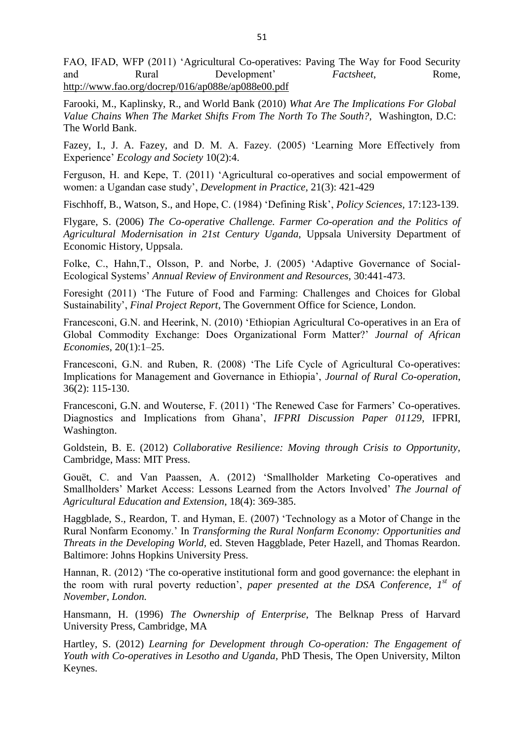FAO, IFAD, WFP (2011) 'Agricultural Co-operatives: Paving The Way for Food Security and Rural Development' *Factsheet*, Rome, <http://www.fao.org/docrep/016/ap088e/ap088e00.pdf>

Farooki, M., Kaplinsky, R., and World Bank (2010) *What Are The Implications For Global Value Chains When The Market Shifts From The North To The South?,* Washington, D.C: The World Bank.

Fazey, I., J. A. Fazey, and D. M. A. Fazey. (2005) 'Learning More Effectively from Experience' *Ecology and Society* 10(2):4.

Ferguson, H. and Kepe, T. (2011) 'Agricultural co-operatives and social empowerment of women: a Ugandan case study', *Development in Practice,* 21(3): 421-429

Fischhoff, B., Watson, S., and Hope, C. (1984) 'Defining Risk', *Policy Sciences,* 17:123-139.

Flygare, S. (2006) *The Co-operative Challenge. Farmer Co-operation and the Politics of Agricultural Modernisation in 21st Century Uganda,* Uppsala University Department of Economic History, Uppsala.

Folke, C., Hahn,T., Olsson, P. and Norbe, J. (2005) 'Adaptive Governance of Social-Ecological Systems' *Annual Review of Environment and Resources,* 30:441-473.

Foresight (2011) 'The Future of Food and Farming: Challenges and Choices for Global Sustainability', *Final Project Report*, The Government Office for Science, London.

Francesconi, G.N. and Heerink, N. (2010) 'Ethiopian Agricultural Co-operatives in an Era of Global Commodity Exchange: Does Organizational Form Matter?' *Journal of African Economies*, 20(1):1–25.

Francesconi, G.N. and Ruben, R. (2008) 'The Life Cycle of Agricultural Co-operatives: Implications for Management and Governance in Ethiopia', *Journal of Rural Co-operation*, 36(2): 115-130.

Francesconi, G.N. and Wouterse, F. (2011) 'The Renewed Case for Farmers' Co-operatives. Diagnostics and Implications from Ghana', *IFPRI Discussion Paper 01129*, IFPRI, Washington.

Goldstein, B. E. (2012) *Collaborative Resilience: Moving through Crisis to Opportunity,* Cambridge, Mass: MIT Press.

Gouët, C. and Van Paassen, A. (2012) 'Smallholder Marketing Co-operatives and Smallholders' Market Access: Lessons Learned from the Actors Involved' *The Journal of Agricultural Education and Extension*, 18(4): 369-385.

Haggblade, S., Reardon, T. and Hyman, E. (2007) 'Technology as a Motor of Change in the Rural Nonfarm Economy.' In *Transforming the Rural Nonfarm Economy: Opportunities and Threats in the Developing World,* ed. Steven Haggblade, Peter Hazell, and Thomas Reardon. Baltimore: Johns Hopkins University Press.

Hannan, R. (2012) 'The co-operative institutional form and good governance: the elephant in the room with rural poverty reduction', *paper presented at the DSA Conference, 1st of November, London.* 

Hansmann, H. (1996) *The Ownership of Enterprise*, The Belknap Press of Harvard University Press, Cambridge, MA

Hartley, S. (2012) *Learning for Development through Co-operation: The Engagement of Youth with Co-operatives in Lesotho and Uganda,* PhD Thesis, The Open University, Milton Keynes.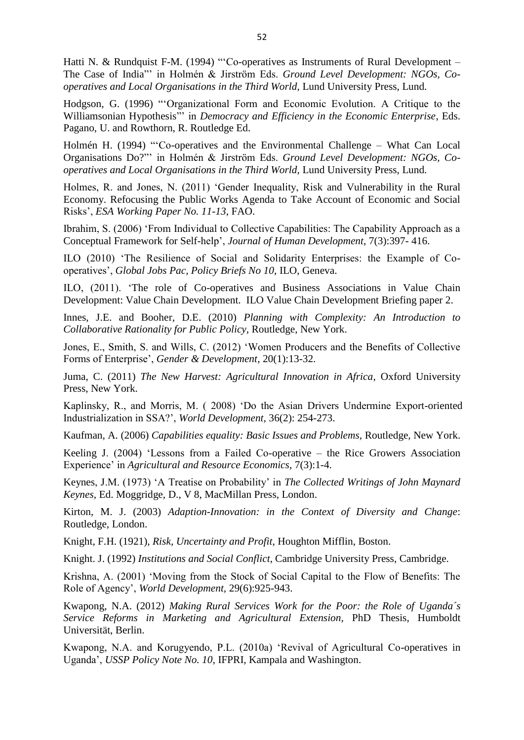Hatti N. & Rundquist F-M. (1994) "'Co-operatives as Instruments of Rural Development – The Case of India"' in Holmén & Jirström Eds. *Ground Level Development: NGOs, Cooperatives and Local Organisations in the Third World*, Lund University Press, Lund.

Hodgson, G. (1996) "'Organizational Form and Economic Evolution. A Critique to the Williamsonian Hypothesis"' in *Democracy and Efficiency in the Economic Enterprise*, Eds. Pagano, U. and Rowthorn, R. Routledge Ed.

Holmén H. (1994) "'Co-operatives and the Environmental Challenge – What Can Local Organisations Do?"' in Holmén & Jirström Eds. *Ground Level Development: NGOs, Cooperatives and Local Organisations in the Third World*, Lund University Press, Lund.

Holmes, R. and Jones, N. (2011) 'Gender Inequality, Risk and Vulnerability in the Rural Economy. Refocusing the Public Works Agenda to Take Account of Economic and Social Risks', *ESA Working Paper No. 11-13*, FAO.

Ibrahim, S. (2006) 'From Individual to Collective Capabilities: The Capability Approach as a Conceptual Framework for Self-help', *Journal of Human Development*, 7(3):397- 416.

ILO (2010) 'The Resilience of Social and Solidarity Enterprises: the Example of Cooperatives', *Global Jobs Pac, Policy Briefs No 10*, ILO, Geneva.

ILO, (2011). 'The role of Co-operatives and Business Associations in Value Chain Development: Value Chain Development. ILO Value Chain Development Briefing paper 2.

Innes, J.E. and Booher, D.E. (2010) *Planning with Complexity: An Introduction to Collaborative Rationality for Public Policy*, Routledge, New York.

Jones, E., Smith, S. and Wills, C. (2012) 'Women Producers and the Benefits of Collective Forms of Enterprise', *Gender & Development*, 20(1):13-32.

Juma, C. (2011) *The New Harvest: Agricultural Innovation in Africa*, Oxford University Press, New York.

Kaplinsky, R., and Morris, M. ( 2008) 'Do the Asian Drivers Undermine Export-oriented Industrialization in SSA?', *World Development,* 36(2): 254-273.

Kaufman, A. (2006) *Capabilities equality: Basic Issues and Problems,* Routledge, New York.

Keeling J. (2004) 'Lessons from a Failed Co-operative – the Rice Growers Association Experience' in *Agricultural and Resource Economics*, 7(3):1-4.

Keynes, J.M. (1973) 'A Treatise on Probability' in *The Collected Writings of John Maynard Keynes,* Ed. Moggridge, D., V 8, MacMillan Press, London.

Kirton, M. J. (2003) *Adaption-Innovation: in the Context of Diversity and Change*: Routledge, London.

Knight, F.H. (1921), *Risk, Uncertainty and Profit*, Houghton Mifflin, Boston.

Knight. J. (1992) *Institutions and Social Conflict*, Cambridge University Press, Cambridge.

Krishna, A. (2001) 'Moving from the Stock of Social Capital to the Flow of Benefits: The Role of Agency', *World Development,* 29(6):925-943.

Kwapong, N.A. (2012) *Making Rural Services Work for the Poor: the Role of Uganda´s Service Reforms in Marketing and Agricultural Extension,* PhD Thesis, Humboldt Universität, Berlin.

Kwapong, N.A. and Korugyendo, P.L. (2010a) 'Revival of Agricultural Co-operatives in Uganda', *USSP Policy Note No. 10*, IFPRI, Kampala and Washington.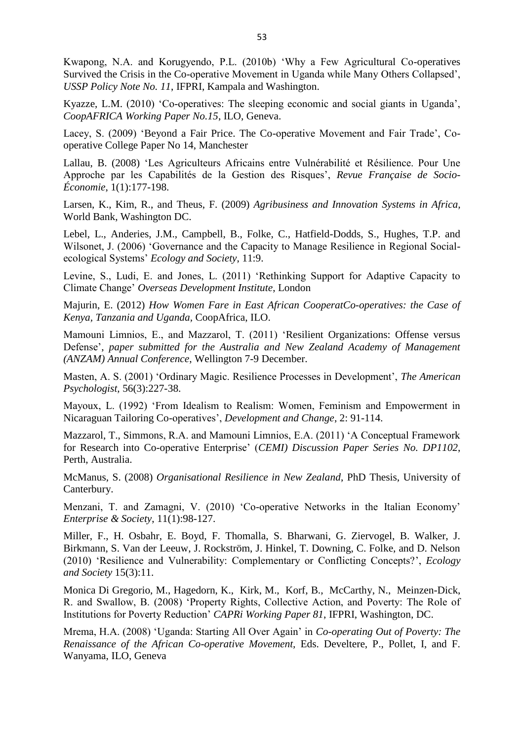Kwapong, N.A. and Korugyendo, P.L. (2010b) 'Why a Few Agricultural Co-operatives Survived the Crisis in the Co-operative Movement in Uganda while Many Others Collapsed', *USSP Policy Note No. 11*, IFPRI, Kampala and Washington.

Kyazze, L.M. (2010) 'Co-operatives: The sleeping economic and social giants in Uganda', *CoopAFRICA Working Paper No.15*, ILO, Geneva.

Lacey, S. (2009) 'Beyond a Fair Price. The Co-operative Movement and Fair Trade', Cooperative College Paper No 14, Manchester

Lallau, B. (2008) 'Les Agriculteurs Africains entre Vulnérabilité et Résilience. Pour Une Approche par les Capabilités de la Gestion des Risques', *Revue Française de Socio-Économie*, 1(1):177-198.

Larsen, K., Kim, R., and Theus, F. (2009) *Agribusiness and Innovation Systems in Africa,* World Bank, Washington DC.

Lebel, L., Anderies, J.M., Campbell, B., Folke, C., Hatfield-Dodds, S., Hughes, T.P. and Wilsonet, J. (2006) 'Governance and the Capacity to Manage Resilience in Regional Socialecological Systems' *Ecology and Society*, 11:9.

Levine, S., Ludi, E. and Jones, L. (2011) 'Rethinking Support for Adaptive Capacity to Climate Change' *Overseas Development Institute*, London

Majurin, E. (2012) *How Women Fare in East African CooperatCo-operatives: the Case of Kenya, Tanzania and Uganda,* CoopAfrica, ILO.

Mamouni Limnios, E., and Mazzarol, T. (2011) 'Resilient Organizations: Offense versus Defense', *paper submitted for the Australia and New Zealand Academy of Management (ANZAM) Annual Conference*, Wellington 7-9 December.

Masten, A. S. (2001) 'Ordinary Magic. Resilience Processes in Development', *The American Psychologist,* 56(3):227-38.

Mayoux, L. (1992) 'From Idealism to Realism: Women, Feminism and Empowerment in Nicaraguan Tailoring Co-operatives', *Development and Change*, 2: 91-114.

Mazzarol, T., Simmons, R.A. and Mamouni Limnios, E.A. (2011) 'A Conceptual Framework for Research into Co-operative Enterprise' (*CEMI) Discussion Paper Series No. DP1102*, Perth, Australia.

McManus, S. (2008) *Organisational Resilience in New Zealand*, PhD Thesis, University of Canterbury.

Menzani, T. and Zamagni, V. (2010) 'Co-operative Networks in the Italian Economy' *Enterprise & Society*, 11(1):98-127.

Miller, F., H. Osbahr, E. Boyd, F. Thomalla, S. Bharwani, G. Ziervogel, B. Walker, J. Birkmann, S. Van der Leeuw, J. Rockström, J. Hinkel, T. Downing, C. Folke, and D. Nelson (2010) 'Resilience and Vulnerability: Complementary or Conflicting Concepts?', *Ecology and Society* 15(3):11.

Monica Di Gregorio, M., Hagedorn, K., Kirk, M., Korf, B., McCarthy, N., Meinzen-Dick, R. and Swallow, B. (2008) 'Property Rights, Collective Action, and Poverty: The Role of Institutions for Poverty Reduction' *CAPRi Working Paper 81*, IFPRI, Washington, DC.

Mrema, H.A. (2008) 'Uganda: Starting All Over Again' in *Co-operating Out of Poverty: The Renaissance of the African Co-operative Movement,* Eds. Develtere, P., Pollet, I, and F. Wanyama, ILO, Geneva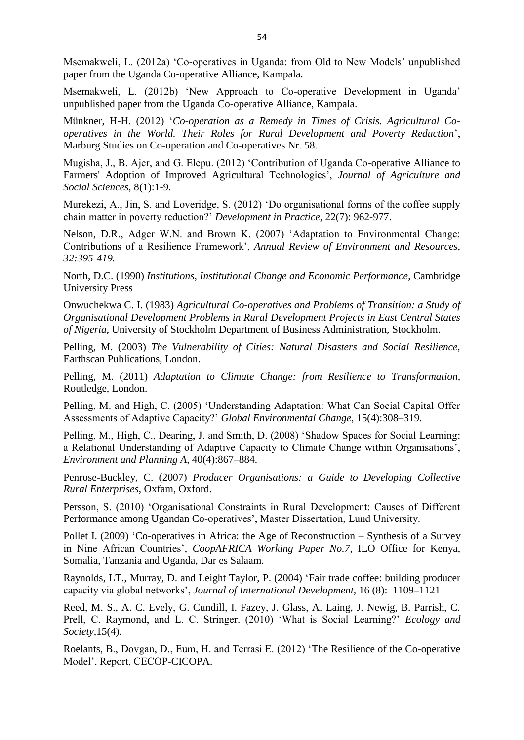Msemakweli, L. (2012a) 'Co-operatives in Uganda: from Old to New Models' unpublished paper from the Uganda Co-operative Alliance, Kampala.

Msemakweli, L. (2012b) 'New Approach to Co-operative Development in Uganda' unpublished paper from the Uganda Co-operative Alliance, Kampala.

Münkner, H-H. (2012) '*Co-operation as a Remedy in Times of Crisis. Agricultural Cooperatives in the World. Their Roles for Rural Development and Poverty Reduction*', Marburg Studies on Co-operation and Co-operatives Nr. 58.

Mugisha, J., B. Ajer, and G. Elepu. (2012) 'Contribution of Uganda Co-operative Alliance to Farmers' Adoption of Improved Agricultural Technologies', *Journal of Agriculture and Social Sciences,* 8(1):1-9.

Murekezi, A., Jin, S. and Loveridge, S. (2012) 'Do organisational forms of the coffee supply chain matter in poverty reduction?' *Development in Practice*, 22(7): 962-977.

Nelson, D.R., Adger W.N. and Brown K. (2007) 'Adaptation to Environmental Change: Contributions of a Resilience Framework', *Annual Review of Environment and Resources, 32:395-419.*

North, D.C. (1990) *Institutions, Institutional Change and Economic Performance*, Cambridge University Press

Onwuchekwa C. I. (1983) *Agricultural Co-operatives and Problems of Transition: a Study of Organisational Development Problems in Rural Development Projects in East Central States of Nigeria*, University of Stockholm Department of Business Administration, Stockholm.

Pelling, M. (2003) *The Vulnerability of Cities: Natural Disasters and Social Resilience,* Earthscan Publications, London.

Pelling, M. (2011) *Adaptation to Climate Change: from Resilience to Transformation,* Routledge, London.

Pelling, M. and High, C. (2005) 'Understanding Adaptation: What Can Social Capital Offer Assessments of Adaptive Capacity?' *Global Environmental Change*, 15(4):308–319.

Pelling, M., High, C., Dearing, J. and Smith, D. (2008) 'Shadow Spaces for Social Learning: a Relational Understanding of Adaptive Capacity to Climate Change within Organisations', *Environment and Planning A*, 40(4):867–884.

Penrose-Buckley, C. (2007) *Producer Organisations: a Guide to Developing Collective Rural Enterprises*, Oxfam, Oxford.

Persson, S. (2010) 'Organisational Constraints in Rural Development: Causes of Different Performance among Ugandan Co-operatives', Master Dissertation, Lund University.

Pollet I. (2009) 'Co-operatives in Africa: the Age of Reconstruction – Synthesis of a Survey in Nine African Countries', *CoopAFRICA Working Paper No.7*, ILO Office for Kenya, Somalia, Tanzania and Uganda, Dar es Salaam.

Raynolds, LT., Murray, D. and Leight Taylor, P. (2004) 'Fair trade coffee: building producer capacity via global networks', *Journal of International Development,* 16 (8): 1109–1121

Reed, M. S., A. C. Evely, G. Cundill, I. Fazey, J. Glass, A. Laing, J. Newig, B. Parrish, C. Prell, C. Raymond, and L. C. Stringer. (2010) 'What is Social Learning?' *Ecology and Society,*15(4).

Roelants, B., Dovgan, D., Eum, H. and Terrasi E. (2012) 'The Resilience of the Co-operative Model', Report, CECOP-CICOPA.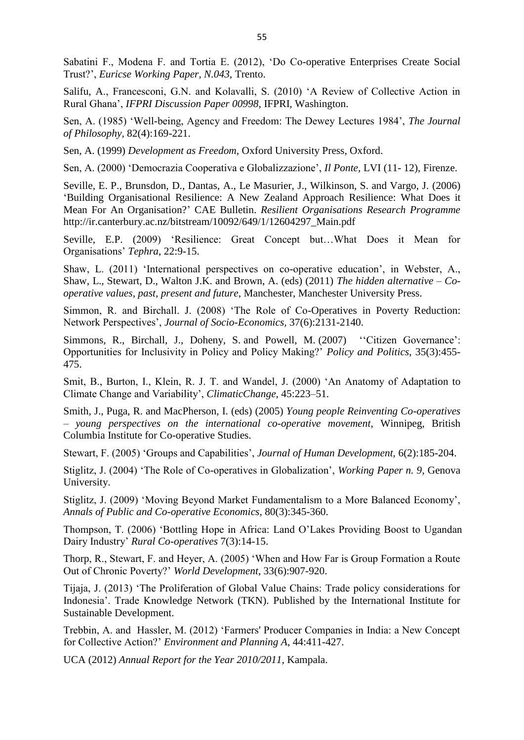Sabatini F., Modena F. and Tortia E. (2012), 'Do Co-operative Enterprises Create Social Trust?', *Euricse Working Paper, N.043,* Trento.

Salifu, A., Francesconi, G.N. and Kolavalli, S. (2010) 'A Review of Collective Action in Rural Ghana', *IFPRI Discussion Paper 00998*, IFPRI, Washington.

Sen, A. (1985) 'Well-being, Agency and Freedom: The Dewey Lectures 1984', *The Journal of Philosophy,* 82(4):169-221.

Sen, A. (1999) *Development as Freedom,* Oxford University Press, Oxford.

Sen, A. (2000) 'Democrazia Cooperativa e Globalizzazione', *Il Ponte,* LVI (11- 12), Firenze.

Seville, E. P., Brunsdon, D., Dantas, A., Le Masurier, J., Wilkinson, S. and Vargo, J. (2006) 'Building Organisational Resilience: A New Zealand Approach Resilience: What Does it Mean For An Organisation?' CAE Bulletin. *Resilient Organisations Research Programme*  http://ir.canterbury.ac.nz/bitstream/10092/649/1/12604297\_Main.pdf

Seville, E.P. (2009) 'Resilience: Great Concept but…What Does it Mean for Organisations' *Tephra*, 22:9-15.

Shaw, L. (2011) 'International perspectives on co-operative education', in Webster, A., Shaw, L., Stewart, D., Walton J.K. and Brown, A. (eds) (2011) *The hidden alternative – Cooperative values, past, present and future*, Manchester, Manchester University Press.

Simmon, R. and Birchall. J. (2008) 'The Role of Co-Operatives in Poverty Reduction: Network Perspectives', *Journal of Socio-Economics,* 37(6):2131-2140.

Simmons, R., Birchall, J., Doheny, S. and Powell, M. (2007) "Citizen Governance": Opportunities for Inclusivity in Policy and Policy Making?' *Policy and Politics*, 35(3):455- 475.

Smit, B., Burton, I., Klein, R. J. T. and Wandel, J. (2000) 'An Anatomy of Adaptation to Climate Change and Variability', *ClimaticChange*, 45:223–51.

Smith, J., Puga, R. and MacPherson, I. (eds) (2005) *Young people Reinventing Co-operatives – young perspectives on the international co-operative movement*, Winnipeg, British Columbia Institute for Co-operative Studies.

Stewart, F. (2005) 'Groups and Capabilities', *Journal of Human Development,* 6(2):185-204.

Stiglitz, J. (2004) 'The Role of Co-operatives in Globalization', *Working Paper n. 9*, Genova University.

Stiglitz, J. (2009) 'Moving Beyond Market Fundamentalism to a More Balanced Economy', *Annals of Public and Co-operative Economics,* 80(3):345-360.

Thompson, T. (2006) 'Bottling Hope in Africa: Land O'Lakes Providing Boost to Ugandan Dairy Industry' *Rural Co-operatives* 7(3):14-15.

Thorp, R., Stewart, F. and Heyer, A. (2005) 'When and How Far is Group Formation a Route Out of Chronic Poverty?' *World Development*, 33(6):907-920.

Tijaja, J. (2013) 'The Proliferation of Global Value Chains: Trade policy considerations for Indonesia'. Trade Knowledge Network (TKN). Published by the International Institute for Sustainable Development.

Trebbin, A. and Hassler, M. (2012) 'Farmers' Producer Companies in India: a New Concept for Collective Action?' *Environment and Planning A*, 44:411-427.

UCA (2012) *Annual Report for the Year 2010/2011,* Kampala.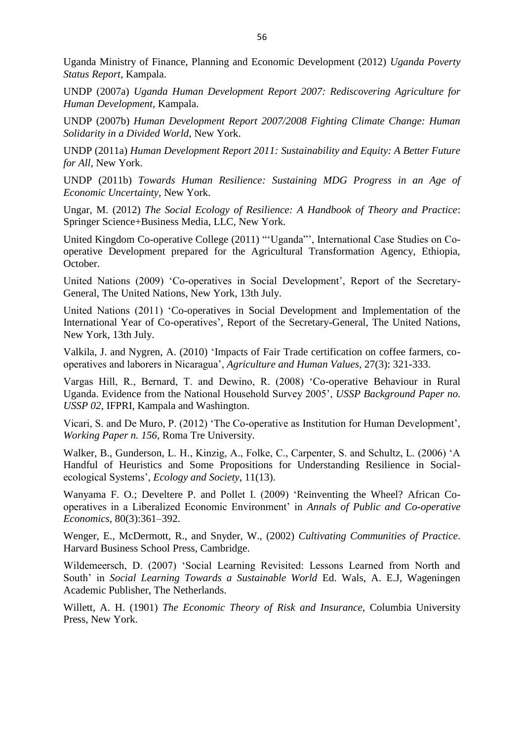Uganda Ministry of Finance, Planning and Economic Development (2012) *Uganda Poverty Status Report,* Kampala.

UNDP (2007a) *Uganda Human Development Report 2007: Rediscovering Agriculture for Human Development,* Kampala.

UNDP (2007b) *Human Development Report 2007/2008 Fighting Climate Change: Human Solidarity in a Divided World,* New York.

UNDP (2011a) *Human Development Report 2011: Sustainability and Equity: A Better Future for All*, New York.

UNDP (2011b) *Towards Human Resilience: Sustaining MDG Progress in an Age of Economic Uncertainty,* New York.

Ungar, M. (2012) *The Social Ecology of Resilience: A Handbook of Theory and Practice*: Springer Science+Business Media, LLC, New York.

United Kingdom Co-operative College (2011) "'Uganda"', International Case Studies on Cooperative Development prepared for the Agricultural Transformation Agency, Ethiopia, October.

United Nations (2009) 'Co-operatives in Social Development', Report of the Secretary-General, The United Nations, New York, 13th July.

United Nations (2011) 'Co-operatives in Social Development and Implementation of the International Year of Co-operatives', Report of the Secretary-General, The United Nations, New York, 13th July.

Valkila, J. and Nygren, A. (2010) 'Impacts of Fair Trade certification on coffee farmers, cooperatives and laborers in Nicaragua', *Agriculture and Human Values,* 27(3): 321-333.

Vargas Hill, R., Bernard, T. and Dewino, R. (2008) 'Co-operative Behaviour in Rural Uganda. Evidence from the National Household Survey 2005', *USSP Background Paper no. USSP 02*, IFPRI, Kampala and Washington.

Vicari, S. and De Muro, P. (2012) 'The Co-operative as Institution for Human Development', *Working Paper n. 156,* Roma Tre University.

Walker, B., Gunderson, L. H., Kinzig, A., Folke, C., Carpenter, S. and Schultz, L. (2006) 'A Handful of Heuristics and Some Propositions for Understanding Resilience in Socialecological Systems', *Ecology and Society*, 11(13).

Wanyama F. O.; Develtere P. and Pollet I. (2009) 'Reinventing the Wheel? African Cooperatives in a Liberalized Economic Environment' in *Annals of Public and Co-operative Economics*, 80(3):361–392.

Wenger, E., McDermott, R., and Snyder, W., (2002) *Cultivating Communities of Practice*. Harvard Business School Press, Cambridge.

Wildemeersch, D. (2007) 'Social Learning Revisited: Lessons Learned from North and South' in *Social Learning Towards a Sustainable World* Ed. Wals, A. E.J, Wageningen Academic Publisher, The Netherlands.

Willett, A. H. (1901) *The Economic Theory of Risk and Insurance,* Columbia University Press, New York.